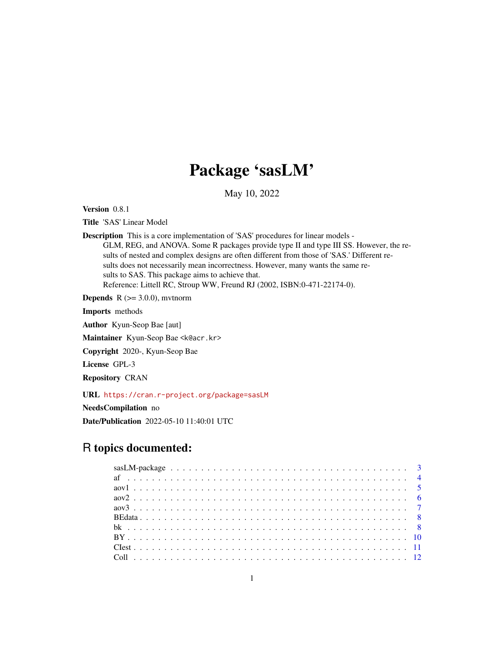# Package 'sasLM'

May 10, 2022

Version 0.8.1

Title 'SAS' Linear Model

Description This is a core implementation of 'SAS' procedures for linear models - GLM, REG, and ANOVA. Some R packages provide type II and type III SS. However, the results of nested and complex designs are often different from those of 'SAS.' Different results does not necessarily mean incorrectness. However, many wants the same results to SAS. This package aims to achieve that. Reference: Littell RC, Stroup WW, Freund RJ (2002, ISBN:0-471-22174-0).

**Depends**  $R$  ( $>= 3.0.0$ ), mythorm

Imports methods

Author Kyun-Seop Bae [aut]

Maintainer Kyun-Seop Bae <k@acr.kr>

Copyright 2020-, Kyun-Seop Bae

License GPL-3

Repository CRAN

URL <https://cran.r-project.org/package=sasLM>

NeedsCompilation no

Date/Publication 2022-05-10 11:40:01 UTC

## R topics documented: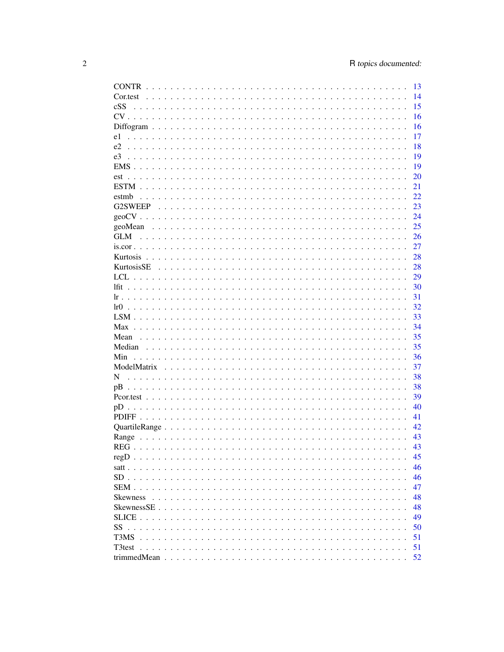|                 | 13 |
|-----------------|----|
| Cor.test        | 14 |
| cSS             | 15 |
|                 | 16 |
|                 | 16 |
| e1              | 17 |
| e2              | 18 |
| e3              | 19 |
|                 | 19 |
| est             | 20 |
|                 | 21 |
| estmb           | 22 |
|                 | 23 |
|                 | 24 |
|                 | 25 |
| GLM             | 26 |
|                 | 27 |
|                 | 28 |
|                 | 28 |
|                 |    |
|                 | 29 |
|                 | 30 |
|                 | 31 |
|                 | 32 |
|                 | 33 |
|                 | 34 |
|                 | 35 |
|                 | 35 |
| Min             | 36 |
|                 | 37 |
| N               | 38 |
| pВ              | 38 |
|                 | 39 |
|                 | 40 |
|                 | 41 |
|                 | 42 |
|                 | 43 |
|                 | 43 |
|                 | 45 |
|                 | 46 |
|                 | 46 |
|                 | 47 |
| <b>Skewness</b> | 48 |
|                 | 48 |
|                 | 49 |
| SS              | 50 |
| T3MS            | 51 |
| T3test          | 51 |
|                 |    |
|                 | 52 |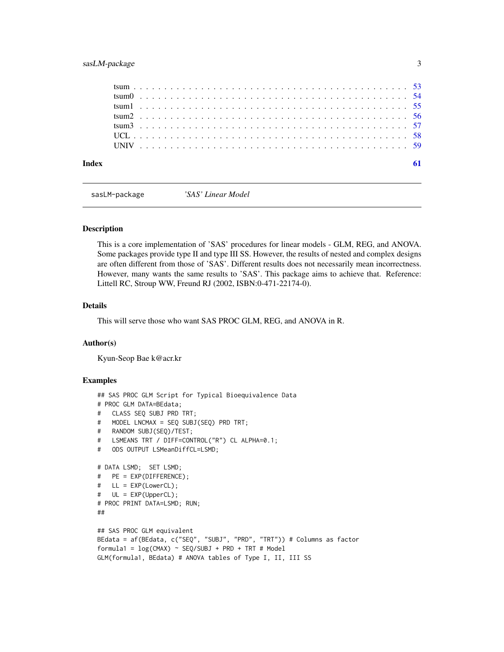### <span id="page-2-0"></span>sasLM-package 3

sasLM-package *'SAS' Linear Model*

#### Description

This is a core implementation of 'SAS' procedures for linear models - GLM, REG, and ANOVA. Some packages provide type II and type III SS. However, the results of nested and complex designs are often different from those of 'SAS'. Different results does not necessarily mean incorrectness. However, many wants the same results to 'SAS'. This package aims to achieve that. Reference: Littell RC, Stroup WW, Freund RJ (2002, ISBN:0-471-22174-0).

### Details

This will serve those who want SAS PROC GLM, REG, and ANOVA in R.

#### Author(s)

Kyun-Seop Bae k@acr.kr

```
## SAS PROC GLM Script for Typical Bioequivalence Data
# PROC GLM DATA=BEdata;
# CLASS SEQ SUBJ PRD TRT;
# MODEL LNCMAX = SEQ SUBJ(SEQ) PRD TRT;
# RANDOM SUBJ(SEQ)/TEST;
# LSMEANS TRT / DIFF=CONTROL("R") CL ALPHA=0.1;
# ODS OUTPUT LSMeanDiffCL=LSMD;
# DATA LSMD; SET LSMD;
# PE = EXP(DIFFERENCE);
# LL = EXP(LowerCL);
# UL = EXP(UpperCL);
# PROC PRINT DATA=LSMD; RUN;
##
## SAS PROC GLM equivalent
BEdata = af(BEdata, c("SEQ", "SUBJ", "PRD", "TRT")) # Columns as factor
formula1 = log(CMAX) ~ SEQ/SUBJ + PRD + TRT # Model
GLM(formula1, BEdata) # ANOVA tables of Type I, II, III SS
```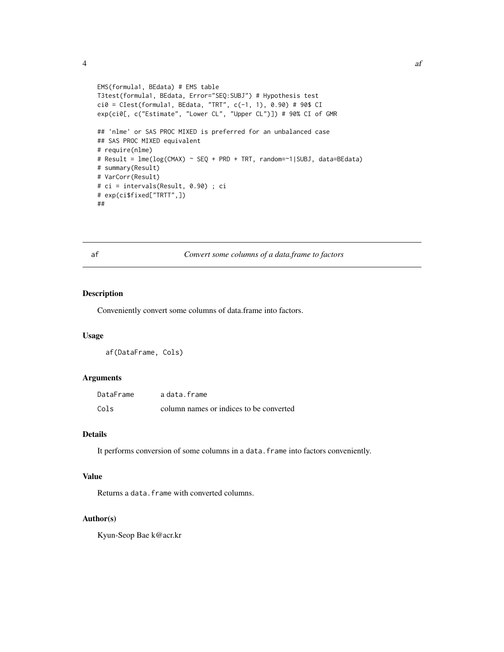```
EMS(formula1, BEdata) # EMS table
T3test(formula1, BEdata, Error="SEQ:SUBJ") # Hypothesis test
ci0 = CIest(formula1, BEdata, "TRT", c(-1, 1), 0.90) # 90$ CI
exp(ci0[, c("Estimate", "Lower CL", "Upper CL")]) # 90% CI of GMR
## 'nlme' or SAS PROC MIXED is preferred for an unbalanced case
## SAS PROC MIXED equivalent
# require(nlme)
# Result = lme(log(CMAX) ~ SEQ + PRD + TRT, random=~1|SUBJ, data=BEdata)
# summary(Result)
# VarCorr(Result)
# ci = intervals(Result, 0.90) ; ci
# exp(ci$fixed["TRTT",])
##
```
af *Convert some columns of a data.frame to factors*

#### Description

Conveniently convert some columns of data.frame into factors.

### Usage

af(DataFrame, Cols)

#### **Arguments**

| DataFrame | adata.frame                             |
|-----------|-----------------------------------------|
| Cols      | column names or indices to be converted |

### Details

It performs conversion of some columns in a data. frame into factors conveniently.

### Value

Returns a data. frame with converted columns.

#### Author(s)

Kyun-Seop Bae k@acr.kr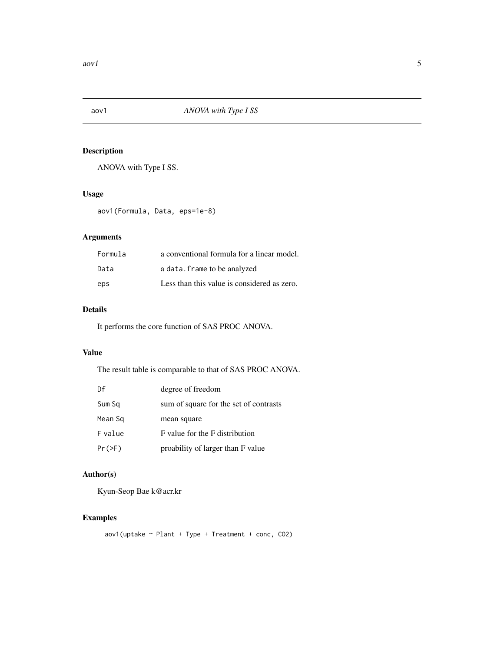<span id="page-4-0"></span>

ANOVA with Type I SS.

#### Usage

aov1(Formula, Data, eps=1e-8)

### Arguments

| Formula | a conventional formula for a linear model.  |
|---------|---------------------------------------------|
| Data    | a data. frame to be analyzed                |
| eps     | Less than this value is considered as zero. |

### Details

It performs the core function of SAS PROC ANOVA.

### Value

The result table is comparable to that of SAS PROC ANOVA.

| Df       | degree of freedom                      |
|----------|----------------------------------------|
| Sum Sq   | sum of square for the set of contrasts |
| Mean Sq  | mean square                            |
| F value  | F value for the F distribution         |
| $Pr(>=)$ | proability of larger than F value      |

### Author(s)

Kyun-Seop Bae k@acr.kr

### Examples

 $aov1$ (uptake ~ Plant + Type + Treatment + conc, CO2)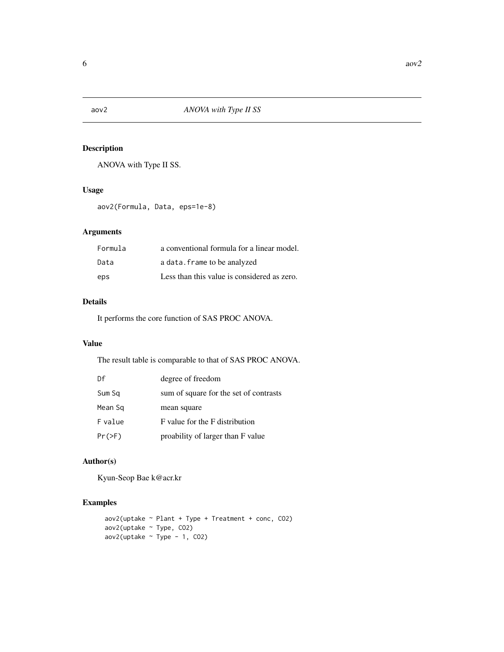<span id="page-5-0"></span>

ANOVA with Type II SS.

### Usage

aov2(Formula, Data, eps=1e-8)

### Arguments

| Formula | a conventional formula for a linear model.  |
|---------|---------------------------------------------|
| Data    | a data. frame to be analyzed                |
| eps     | Less than this value is considered as zero. |

### Details

It performs the core function of SAS PROC ANOVA.

#### Value

The result table is comparable to that of SAS PROC ANOVA.

| Df       | degree of freedom                      |
|----------|----------------------------------------|
| Sum Sq   | sum of square for the set of contrasts |
| Mean Sq  | mean square                            |
| F value  | F value for the F distribution         |
| $Pr(>\)$ | proability of larger than F value      |

### Author(s)

Kyun-Seop Bae k@acr.kr

```
aov2(uptake ~ Plant + Type + Treatment + conc, CO2)
aov2(uptake ~ Type, CO2)
aov2(uptake ~ Type - 1, CO2)
```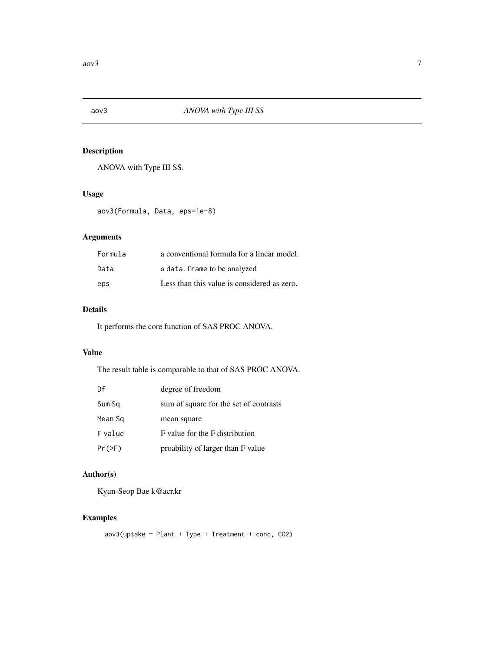<span id="page-6-0"></span>

ANOVA with Type III SS.

#### Usage

aov3(Formula, Data, eps=1e-8)

### Arguments

| Formula | a conventional formula for a linear model.  |
|---------|---------------------------------------------|
| Data    | a data. frame to be analyzed                |
| eps     | Less than this value is considered as zero. |

### Details

It performs the core function of SAS PROC ANOVA.

### Value

The result table is comparable to that of SAS PROC ANOVA.

| Df       | degree of freedom                      |
|----------|----------------------------------------|
| Sum Sq   | sum of square for the set of contrasts |
| Mean Sq  | mean square                            |
| F value  | F value for the F distribution         |
| $Pr(>=)$ | proability of larger than F value      |

### Author(s)

Kyun-Seop Bae k@acr.kr

### Examples

 $aov3(uptake \sim Plant + Type + Treatment + conc, CO2)$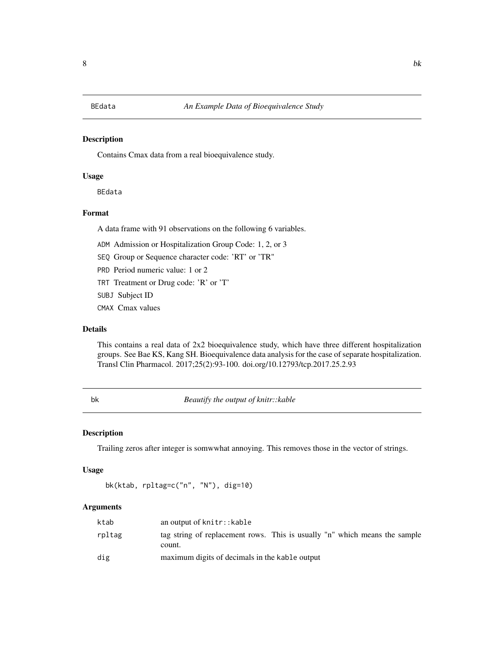<span id="page-7-0"></span>Contains Cmax data from a real bioequivalence study.

### Usage

BEdata

### Format

A data frame with 91 observations on the following 6 variables.

- ADM Admission or Hospitalization Group Code: 1, 2, or 3
- SEQ Group or Sequence character code: 'RT' or 'TR"
- PRD Period numeric value: 1 or 2
- TRT Treatment or Drug code: 'R' or 'T'
- SUBJ Subject ID
- CMAX Cmax values

### Details

This contains a real data of 2x2 bioequivalence study, which have three different hospitalization groups. See Bae KS, Kang SH. Bioequivalence data analysis for the case of separate hospitalization. Transl Clin Pharmacol. 2017;25(2):93-100. doi.org/10.12793/tcp.2017.25.2.93

bk *Beautify the output of knitr::kable*

#### Description

Trailing zeros after integer is somwwhat annoying. This removes those in the vector of strings.

#### Usage

```
bk(ktab, rpltag=c("n", "N"), dig=10)
```
### Arguments

| ktab   | an output of knitr::kable                                                            |
|--------|--------------------------------------------------------------------------------------|
| rpltag | tag string of replacement rows. This is usually "n" which means the sample<br>count. |
| dig    | maximum digits of decimals in the kable output                                       |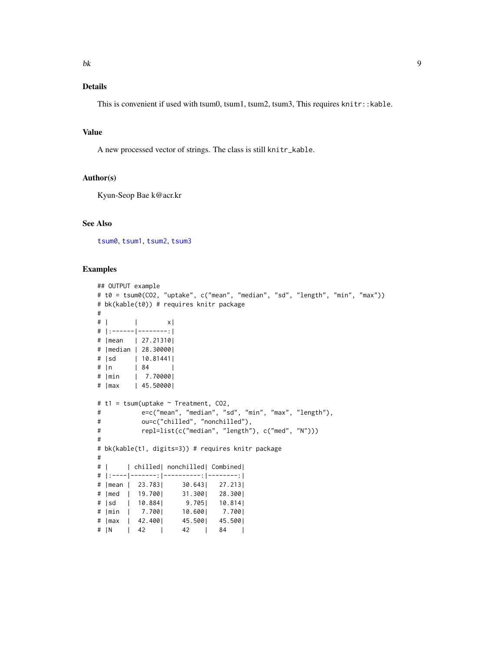### <span id="page-8-0"></span>Details

This is convenient if used with tsum0, tsum1, tsum2, tsum3, This requires knitr::kable.

#### Value

A new processed vector of strings. The class is still knitr\_kable.

#### Author(s)

Kyun-Seop Bae k@acr.kr

#### See Also

[tsum0](#page-53-1), [tsum1](#page-54-1), [tsum2](#page-55-1), [tsum3](#page-56-1)

```
## OUTPUT example
# t0 = tsum0(CO2, "uptake", c("mean", "median", "sd", "length", "min", "max"))
# bk(kable(t0)) # requires knitr package
#
# | | x|
# |:------|--------:|
# |mean | 27.21310|
# |median | 28.30000|
# |sd | 10.81441|
# |n | 84 |
# |min | 7.70000|
# |max | 45.50000|
# t1 = tsum(uptake ~ Treatment, CO2,
# e=c("mean", "median", "sd", "min", "max", "length"),
# ou=c("chilled", "nonchilled"),
# repl=list(c("median", "length"), c("med", "N")))
#
# bk(kable(t1, digits=3)) # requires knitr package
#
# | | chilled| nonchilled| Combined|
# |:----|-------:|----------:|--------:|
# |mean | 23.783| 30.643| 27.213|
# |med | 19.700| 31.300| 28.300|
# |sd | 10.884| 9.705| 10.814|
# |min | 7.700| 10.600| 7.700|
# |max | 42.400| 45.500| 45.500|
# |N | 42 | 42 | 84 |
```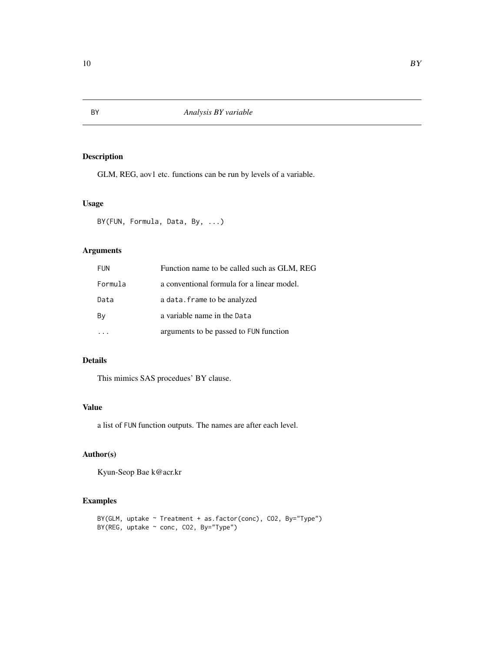GLM, REG, aov1 etc. functions can be run by levels of a variable.

### Usage

BY(FUN, Formula, Data, By, ...)

### Arguments

| <b>FUN</b> | Function name to be called such as GLM, REG |
|------------|---------------------------------------------|
| Formula    | a conventional formula for a linear model.  |
| Data       | a data. frame to be analyzed                |
| By         | a variable name in the Data                 |
|            | arguments to be passed to FUN function      |

### Details

This mimics SAS procedues' BY clause.

### Value

a list of FUN function outputs. The names are after each level.

### Author(s)

Kyun-Seop Bae k@acr.kr

```
BY(GLM, uptake ~ Treatment + as.factor(conc), CO2, By="Type")
BY(REG, uptake ~ conc, CO2, By="Type")
```
<span id="page-9-0"></span>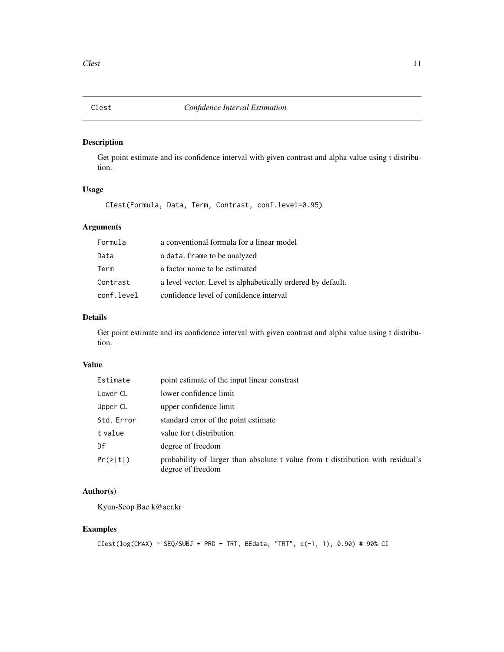Get point estimate and its confidence interval with given contrast and alpha value using t distribution.

### Usage

CIest(Formula, Data, Term, Contrast, conf.level=0.95)

#### Arguments

| Formula    | a conventional formula for a linear model                   |
|------------|-------------------------------------------------------------|
| Data       | a data. frame to be analyzed                                |
| Term       | a factor name to be estimated                               |
| Contrast   | a level vector. Level is alphabetically ordered by default. |
| conf.level | confidence level of confidence interval                     |

### Details

Get point estimate and its confidence interval with given contrast and alpha value using t distribution.

#### Value

| Estimate   | point estimate of the input linear constrast                                                         |
|------------|------------------------------------------------------------------------------------------------------|
| Lower CL   | lower confidence limit                                                                               |
| Upper CL   | upper confidence limit                                                                               |
| Std. Error | standard error of the point estimate                                                                 |
| t value    | value for t distribution                                                                             |
| Df         | degree of freedom                                                                                    |
| Pr(>  t )  | probability of larger than absolute t value from t distribution with residual's<br>degree of freedom |

### Author(s)

Kyun-Seop Bae k@acr.kr

```
CTest(log(CMAX) ~ > SEQ/SUBJ ~ + ~ PRD ~ + ~ TRT, ~ BEdata, ~ "TRT", ~ c(-1, 1), 0.90) ~ # ~ 90% CI
```
<span id="page-10-0"></span>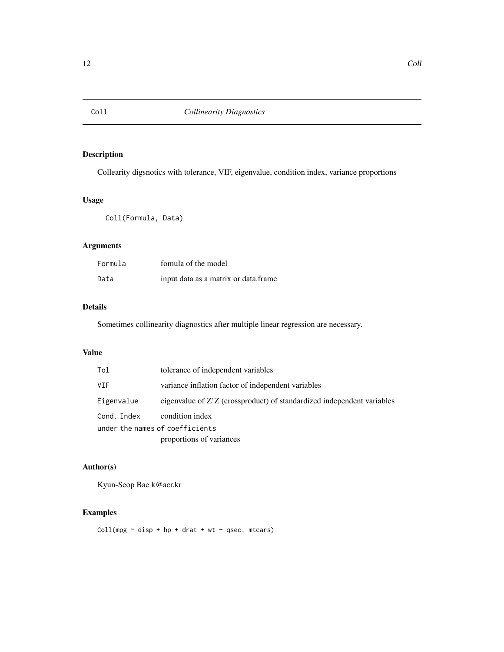<span id="page-11-0"></span>

Collearity digsnotics with tolerance, VIF, eigenvalue, condition index, variance proportions

### Usage

Coll(Formula, Data)

### Arguments

| Formula | fomula of the model                  |
|---------|--------------------------------------|
| Data    | input data as a matrix or data.frame |

#### Details

Sometimes collinearity diagnostics after multiple linear regression are necessary.

#### Value

| Tol                             | tolerance of independent variables                                     |
|---------------------------------|------------------------------------------------------------------------|
| <b>VIF</b>                      | variance inflation factor of independent variables                     |
| Eigenvalue                      | eigenvalue of Z'Z (crossproduct) of standardized independent variables |
| Cond. Index                     | condition index                                                        |
| under the names of coefficients |                                                                        |
|                                 | proportions of variances                                               |

### Author(s)

Kyun-Seop Bae k@acr.kr

## Examples

 $Coll(mpg \sim disp + hp + draft + wt + qsec, mtcars)$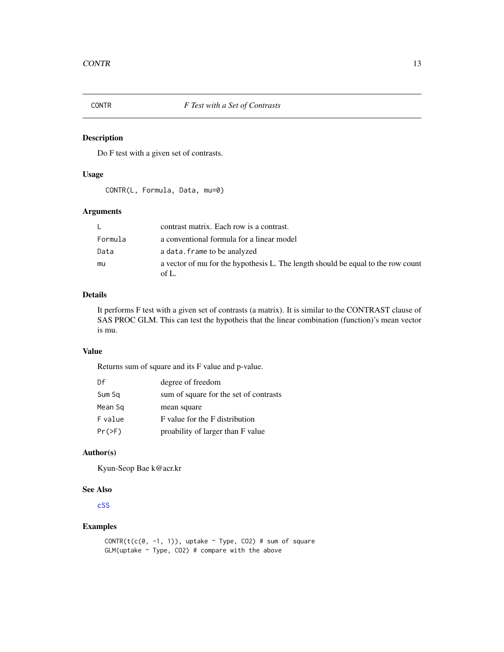<span id="page-12-1"></span><span id="page-12-0"></span>

Do F test with a given set of contrasts.

#### Usage

CONTR(L, Formula, Data, mu=0)

### Arguments

| L.      | contrast matrix. Each row is a contrast.                                                  |
|---------|-------------------------------------------------------------------------------------------|
| Formula | a conventional formula for a linear model                                                 |
| Data    | a data. frame to be analyzed                                                              |
| mu      | a vector of mu for the hypothesis L. The length should be equal to the row count<br>of L. |

### Details

It performs F test with a given set of contrasts (a matrix). It is similar to the CONTRAST clause of SAS PROC GLM. This can test the hypotheis that the linear combination (function)'s mean vector is mu.

#### Value

Returns sum of square and its F value and p-value.

| Df        | degree of freedom                      |
|-----------|----------------------------------------|
| Sum Sq    | sum of square for the set of contrasts |
| Mean Sq   | mean square                            |
| F value   | F value for the F distribution         |
| $Pr(>=F)$ | proability of larger than F value      |

### Author(s)

Kyun-Seop Bae k@acr.kr

#### See Also

[cSS](#page-14-1)

### Examples

CONTR(t(c(0, -1, 1)), uptake  $\sim$  Type, CO2) # sum of square  $GLM$ (uptake  $\sim$  Type, CO2) # compare with the above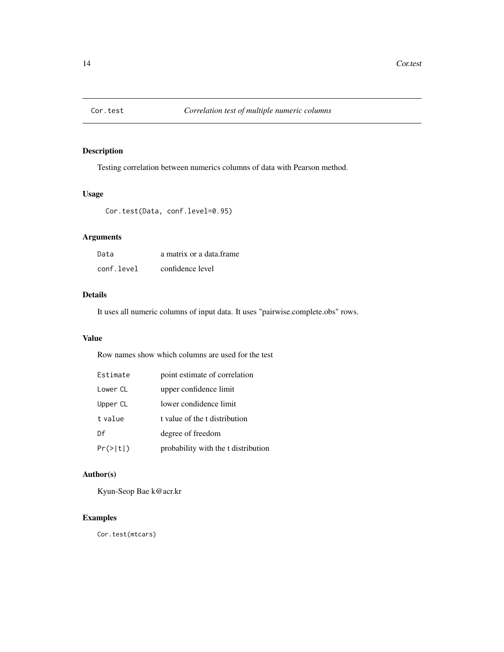<span id="page-13-0"></span>

Testing correlation between numerics columns of data with Pearson method.

### Usage

Cor.test(Data, conf.level=0.95)

### Arguments

| Data       | a matrix or a data frame |
|------------|--------------------------|
| conf.level | confidence level         |

### Details

It uses all numeric columns of input data. It uses "pairwise.complete.obs" rows.

### Value

Row names show which columns are used for the test

| Estimate  | point estimate of correlation       |
|-----------|-------------------------------------|
| Lower CL  | upper confidence limit              |
| Upper CL  | lower condidence limit              |
| t value   | t value of the t distribution       |
| Df        | degree of freedom                   |
| Pr(>  t ) | probability with the t distribution |

### Author(s)

Kyun-Seop Bae k@acr.kr

### Examples

Cor.test(mtcars)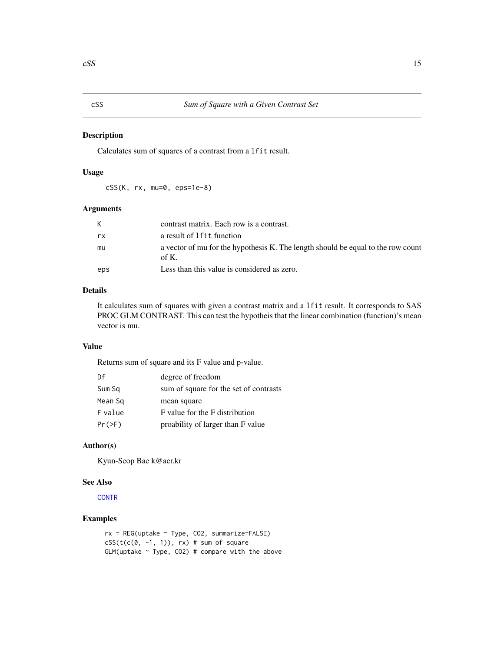<span id="page-14-1"></span><span id="page-14-0"></span>Calculates sum of squares of a contrast from a lfit result.

### Usage

cSS(K, rx, mu=0, eps=1e-8)

### Arguments

| K.  | contrast matrix. Each row is a contrast.                                                     |
|-----|----------------------------------------------------------------------------------------------|
| rx  | a result of 1 f it function                                                                  |
| mu  | a vector of mu for the hypothesis K. The length should be equal to the row count<br>of $K$ . |
| eps | Less than this value is considered as zero.                                                  |

### Details

It calculates sum of squares with given a contrast matrix and a lfit result. It corresponds to SAS PROC GLM CONTRAST. This can test the hypotheis that the linear combination (function)'s mean vector is mu.

### Value

Returns sum of square and its F value and p-value.

| Df       | degree of freedom                      |
|----------|----------------------------------------|
| Sum Sq   | sum of square for the set of contrasts |
| Mean Sq  | mean square                            |
| F value  | F value for the F distribution         |
| $Pr(>=)$ | proability of larger than F value      |

#### Author(s)

Kyun-Seop Bae k@acr.kr

#### See Also

**[CONTR](#page-12-1)** 

```
rx = REG(uptake ~ Type, CO2, summarize=FALSE)
cSS(t(c(0, -1, 1)), rx) # sum of square
GLM(uptake \sim Type, CO2) # compare with the above
```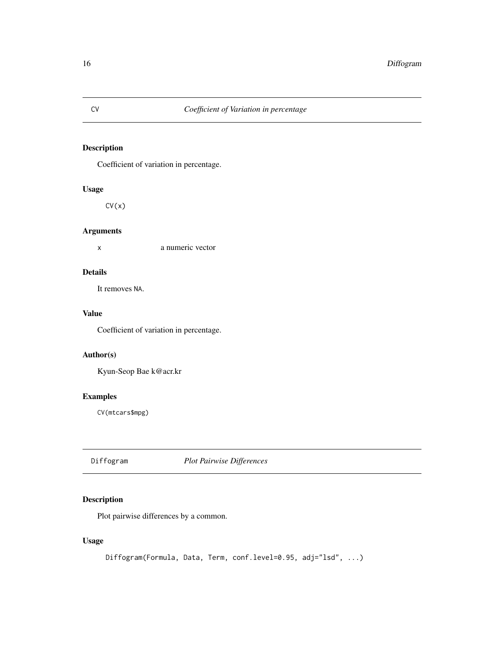Coefficient of variation in percentage.

### Usage

 $CV(x)$ 

### Arguments

x a numeric vector

### Details

It removes NA.

### Value

Coefficient of variation in percentage.

#### Author(s)

Kyun-Seop Bae k@acr.kr

### Examples

CV(mtcars\$mpg)

<span id="page-15-1"></span>Diffogram *Plot Pairwise Differences*

### Description

Plot pairwise differences by a common.

### Usage

Diffogram(Formula, Data, Term, conf.level=0.95, adj="lsd", ...)

<span id="page-15-0"></span>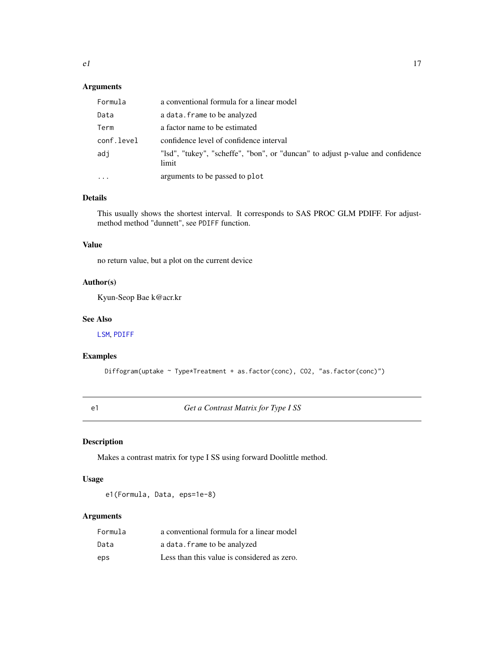### <span id="page-16-0"></span>Arguments

| Formula    | a conventional formula for a linear model                                               |
|------------|-----------------------------------------------------------------------------------------|
| Data       | a data. frame to be analyzed                                                            |
| Term       | a factor name to be estimated                                                           |
| conf.level | confidence level of confidence interval                                                 |
| adi        | "Isd", "tukey", "scheffe", "bon", or "duncan" to adjust p-value and confidence<br>limit |
| $\cdot$    | arguments to be passed to plot                                                          |

### Details

This usually shows the shortest interval. It corresponds to SAS PROC GLM PDIFF. For adjustmethod method "dunnett", see PDIFF function.

### Value

no return value, but a plot on the current device

### Author(s)

Kyun-Seop Bae k@acr.kr

### See Also

[LSM](#page-32-1), [PDIFF](#page-40-1)

### Examples

Diffogram(uptake ~ Type\*Treatment + as.factor(conc), CO2, "as.factor(conc)")

e1 *Get a Contrast Matrix for Type I SS*

### Description

Makes a contrast matrix for type I SS using forward Doolittle method.

#### Usage

e1(Formula, Data, eps=1e-8)

### Arguments

| Formula | a conventional formula for a linear model   |
|---------|---------------------------------------------|
| Data    | a data. frame to be analyzed                |
| eps     | Less than this value is considered as zero. |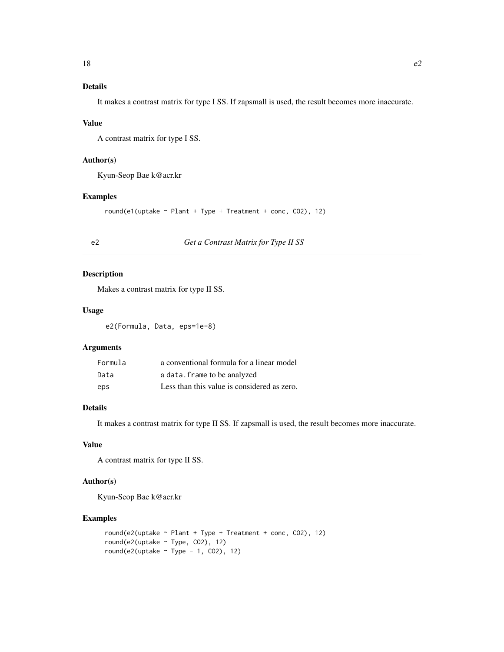### <span id="page-17-0"></span>Details

It makes a contrast matrix for type I SS. If zapsmall is used, the result becomes more inaccurate.

### Value

A contrast matrix for type I SS.

### Author(s)

Kyun-Seop Bae k@acr.kr

#### Examples

```
round(e1(uptake ~ Plant + Type + Treatment + conc, CO2), 12)
```
### e2 *Get a Contrast Matrix for Type II SS*

#### Description

Makes a contrast matrix for type II SS.

#### Usage

e2(Formula, Data, eps=1e-8)

#### Arguments

| Formula | a conventional formula for a linear model   |
|---------|---------------------------------------------|
| Data    | a data. frame to be analyzed                |
| eps     | Less than this value is considered as zero. |

### Details

It makes a contrast matrix for type II SS. If zapsmall is used, the result becomes more inaccurate.

### Value

A contrast matrix for type II SS.

### Author(s)

Kyun-Seop Bae k@acr.kr

```
round(e2(uptake ~ Plant + Type + Treatment + conc, CO2), 12)
round(e2(uptake ~ Type, CO2), 12)
round(e2(uptake \sim Type - 1, CO2), 12)
```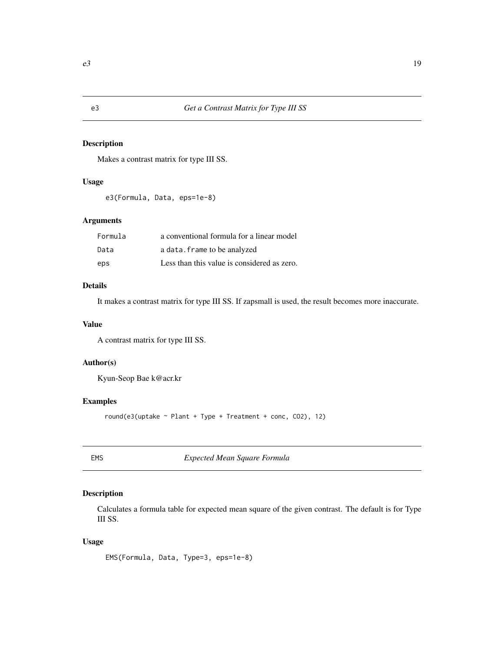<span id="page-18-0"></span>Makes a contrast matrix for type III SS.

### Usage

```
e3(Formula, Data, eps=1e-8)
```
### Arguments

| Formula | a conventional formula for a linear model   |
|---------|---------------------------------------------|
| Data    | a data. frame to be analyzed                |
| eps     | Less than this value is considered as zero. |

### Details

It makes a contrast matrix for type III SS. If zapsmall is used, the result becomes more inaccurate.

#### Value

A contrast matrix for type III SS.

### Author(s)

Kyun-Seop Bae k@acr.kr

### Examples

round(e3(uptake ~ Plant + Type + Treatment + conc, CO2), 12)

EMS *Expected Mean Square Formula*

### Description

Calculates a formula table for expected mean square of the given contrast. The default is for Type III SS.

### Usage

EMS(Formula, Data, Type=3, eps=1e-8)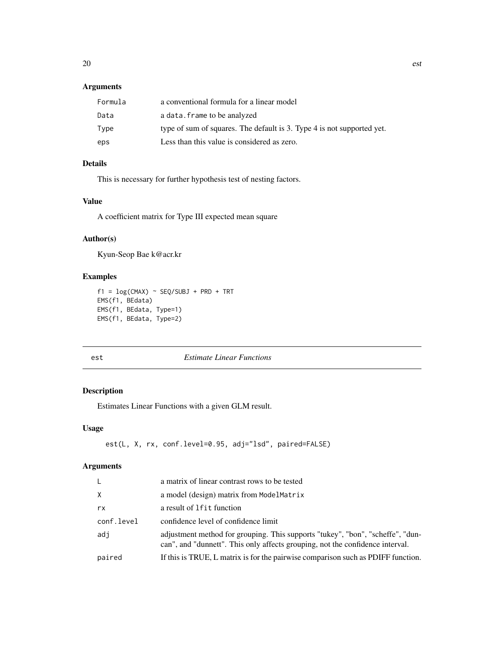### <span id="page-19-0"></span>Arguments

| Formula | a conventional formula for a linear model                              |
|---------|------------------------------------------------------------------------|
| Data    | a data. frame to be analyzed                                           |
| Type    | type of sum of squares. The default is 3. Type 4 is not supported yet. |
| eps     | Less than this value is considered as zero.                            |

### Details

This is necessary for further hypothesis test of nesting factors.

### Value

A coefficient matrix for Type III expected mean square

#### Author(s)

Kyun-Seop Bae k@acr.kr

### Examples

```
f1 = \log(CMAX) \sim SEQ/SUBJ + PRD + TRTEMS(f1, BEdata)
EMS(f1, BEdata, Type=1)
EMS(f1, BEdata, Type=2)
```
#### <span id="page-19-1"></span>est *Estimate Linear Functions*

#### Description

Estimates Linear Functions with a given GLM result.

#### Usage

```
est(L, X, rx, conf.level=0.95, adj="lsd", paired=FALSE)
```
### Arguments

| L.         | a matrix of linear contrast rows to be tested                                                                                                                   |
|------------|-----------------------------------------------------------------------------------------------------------------------------------------------------------------|
| X          | a model (design) matrix from ModelMatrix                                                                                                                        |
| rx         | a result of 1 f it function                                                                                                                                     |
| conf.level | confidence level of confidence limit                                                                                                                            |
| adi        | adjustment method for grouping. This supports "tukey", "bon", "scheffe", "dun-<br>can", and "dunnett". This only affects grouping, not the confidence interval. |
| paired     | If this is TRUE, L matrix is for the pairwise comparison such as PDIFF function.                                                                                |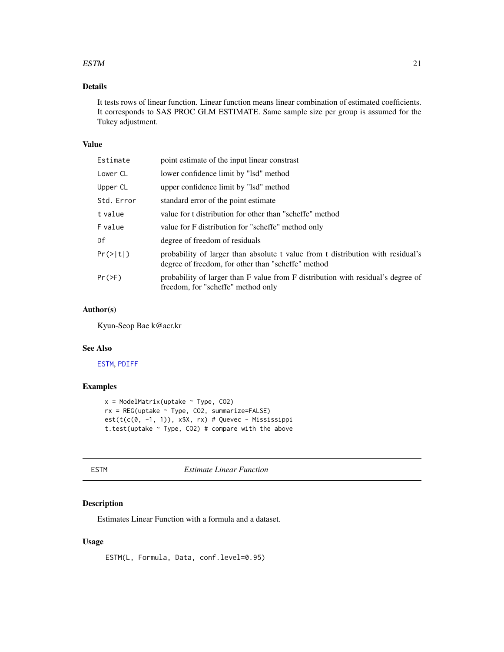#### <span id="page-20-0"></span> $\mathbf{ESTM}$  21

### Details

It tests rows of linear function. Linear function means linear combination of estimated coefficients. It corresponds to SAS PROC GLM ESTIMATE. Same sample size per group is assumed for the Tukey adjustment.

#### Value

| Estimate   | point estimate of the input linear constrast                                                                                          |
|------------|---------------------------------------------------------------------------------------------------------------------------------------|
| Lower CL   | lower confidence limit by "lsd" method                                                                                                |
| Upper CL   | upper confidence limit by "lsd" method                                                                                                |
| Std. Error | standard error of the point estimate                                                                                                  |
| t value    | value for t distribution for other than "scheffe" method                                                                              |
| F value    | value for F distribution for "scheffe" method only                                                                                    |
| Df         | degree of freedom of residuals                                                                                                        |
| Pr(> t )   | probability of larger than absolute t value from t distribution with residual's<br>degree of freedom, for other than "scheffe" method |
| Pr(>F)     | probability of larger than F value from F distribution with residual's degree of<br>freedom, for "scheffe" method only                |

### Author(s)

Kyun-Seop Bae k@acr.kr

### See Also

[ESTM](#page-20-1), [PDIFF](#page-40-1)

#### Examples

```
x = ModelMatrix(uptake ~ Type, CO2)rx = REG(uptake ~ Type, CO2, summarize=FALSE)est(t(c(0, -1, 1)), x$X, rx) # Quevec - Mississippit.test(uptake ~ Type, CO2) # compare with the above
```
<span id="page-20-1"></span>

ESTM *Estimate Linear Function*

### Description

Estimates Linear Function with a formula and a dataset.

### Usage

ESTM(L, Formula, Data, conf.level=0.95)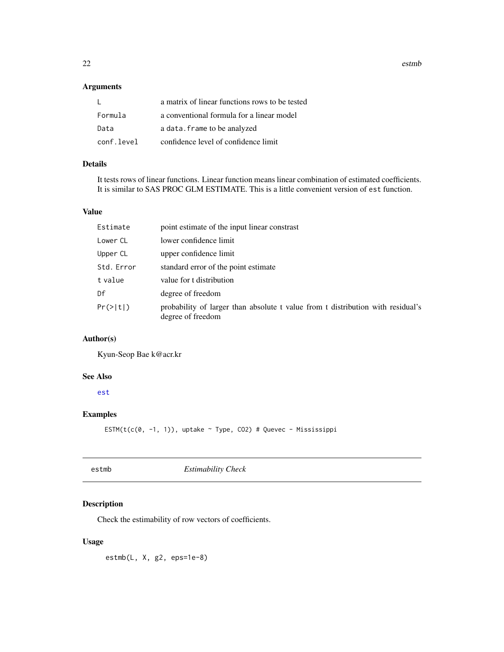<span id="page-21-0"></span>22 estmb

### Arguments

|            | a matrix of linear functions rows to be tested |
|------------|------------------------------------------------|
| Formula    | a conventional formula for a linear model      |
| Data       | a data. frame to be analyzed                   |
| conf.level | confidence level of confidence limit           |

### Details

It tests rows of linear functions. Linear function means linear combination of estimated coefficients. It is similar to SAS PROC GLM ESTIMATE. This is a little convenient version of est function.

#### Value

| Estimate   | point estimate of the input linear constrast                                                         |
|------------|------------------------------------------------------------------------------------------------------|
| Lower CL   | lower confidence limit                                                                               |
| Upper CL   | upper confidence limit                                                                               |
| Std. Error | standard error of the point estimate                                                                 |
| t value    | value for t distribution                                                                             |
| Df         | degree of freedom                                                                                    |
| Pr(>  t )  | probability of larger than absolute t value from t distribution with residual's<br>degree of freedom |

### Author(s)

Kyun-Seop Bae k@acr.kr

### See Also

[est](#page-19-1)

### Examples

ESTM(t(c(0, -1, 1)), uptake  $\sim$  Type, CO2) # Quevec - Mississippi

| estmb | <b>Estimability Check</b> |
|-------|---------------------------|
|-------|---------------------------|

### Description

Check the estimability of row vectors of coefficients.

### Usage

estmb(L, X, g2, eps=1e-8)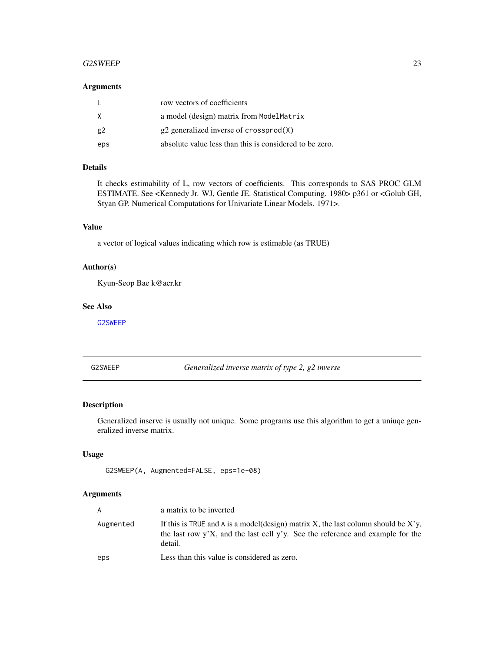#### <span id="page-22-0"></span>G2SWEEP 23

#### Arguments

|     | row vectors of coefficients                             |
|-----|---------------------------------------------------------|
| X   | a model (design) matrix from ModelMatrix                |
| g2  | $g2$ generalized inverse of crossprod $(X)$             |
| eps | absolute value less than this is considered to be zero. |

### Details

It checks estimability of L, row vectors of coefficients. This corresponds to SAS PROC GLM ESTIMATE. See <Kennedy Jr. WJ, Gentle JE. Statistical Computing. 1980> p361 or <Golub GH, Styan GP. Numerical Computations for Univariate Linear Models. 1971>.

### Value

a vector of logical values indicating which row is estimable (as TRUE)

### Author(s)

Kyun-Seop Bae k@acr.kr

#### See Also

[G2SWEEP](#page-22-1)

<span id="page-22-1"></span>G2SWEEP *Generalized inverse matrix of type 2, g2 inverse*

#### Description

Generalized inserve is usually not unique. Some programs use this algorithm to get a uniuqe generalized inverse matrix.

### Usage

```
G2SWEEP(A, Augmented=FALSE, eps=1e-08)
```
#### Arguments

| A         | a matrix to be inverted                                                                                                                                                         |
|-----------|---------------------------------------------------------------------------------------------------------------------------------------------------------------------------------|
| Augmented | If this is TRUE and A is a model (design) matrix X, the last column should be X'y,<br>the last row y'X, and the last cell y'y. See the reference and example for the<br>detail. |
| eps       | Less than this value is considered as zero.                                                                                                                                     |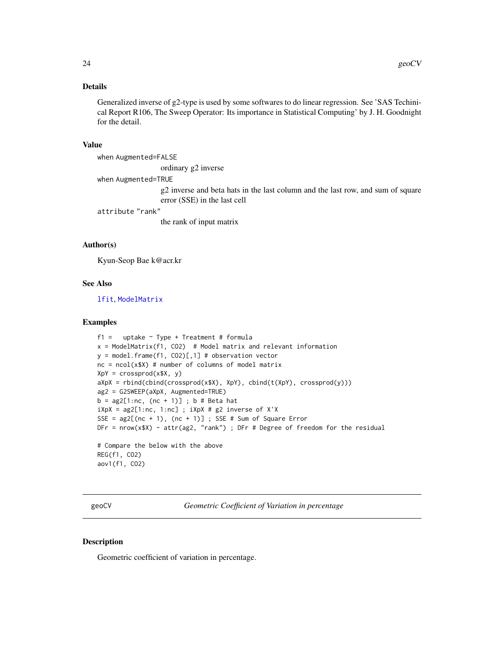### <span id="page-23-0"></span>Details

Generalized inverse of g2-type is used by some softwares to do linear regression. See 'SAS Techinical Report R106, The Sweep Operator: Its importance in Statistical Computing' by J. H. Goodnight for the detail.

#### Value

when Augmented=FALSE

ordinary g2 inverse

when Augmented=TRUE

g2 inverse and beta hats in the last column and the last row, and sum of square error (SSE) in the last cell

attribute "rank"

the rank of input matrix

#### Author(s)

Kyun-Seop Bae k@acr.kr

#### See Also

[lfit](#page-29-1), [ModelMatrix](#page-36-1)

#### Examples

```
f1 = uptake ~ Type + Treatment # formula
x = ModelMatrix(f1, CO2) # Model matrix and relevant information
y = model-frame(f1, CO2)[,1] # observation vectornc = ncol(x$X) # number of columns of model matrix
XpY = crossprod(x $X, y)aXpX = rbind(cbind(crossprod(x$X), XpY), chind(t(XpY), crossprod(y)))ag2 = G2SWEEP(aXpX, Augmented=TRUE)
b = ag2[1:nc, (nc + 1)]; b \# Beta hatiXpX = ag2[1:nc, 1:nc]; iXpX # g2 inverse of X'XSSE = ag2[(nc + 1), (nc + 1)]; SSE # Sum of Square ErrorDFr = nrow(x$X) - attr(ag2, "rank"); DFr # Degree of freedom for the residual# Compare the below with the above
REG(f1, CO2)
aov1(f1, CO2)
```
<span id="page-23-1"></span>geoCV *Geometric Coefficient of Variation in percentage*

#### Description

Geometric coefficient of variation in percentage.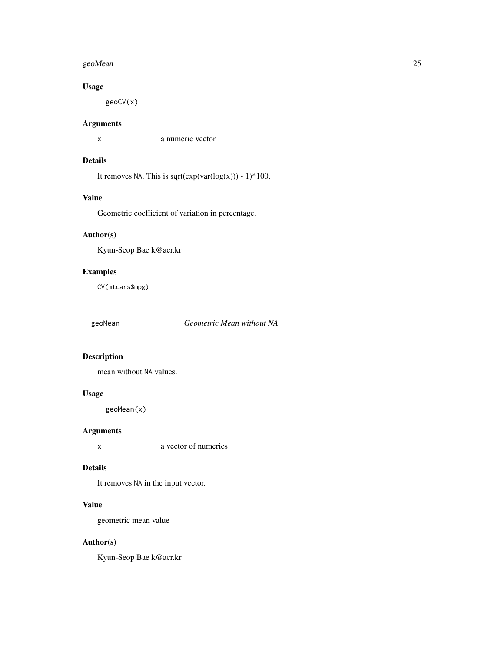#### <span id="page-24-0"></span>geoMean 25

### Usage

geoCV(x)

### Arguments

x a numeric vector

### Details

It removes NA. This is sqrt $(exp(var(log(x))) - 1)*100$ .

### Value

Geometric coefficient of variation in percentage.

## Author(s)

Kyun-Seop Bae k@acr.kr

### Examples

CV(mtcars\$mpg)

geoMean *Geometric Mean without NA*

### Description

mean without NA values.

### Usage

geoMean(x)

#### Arguments

x a vector of numerics

### Details

It removes NA in the input vector.

### Value

geometric mean value

### Author(s)

Kyun-Seop Bae k@acr.kr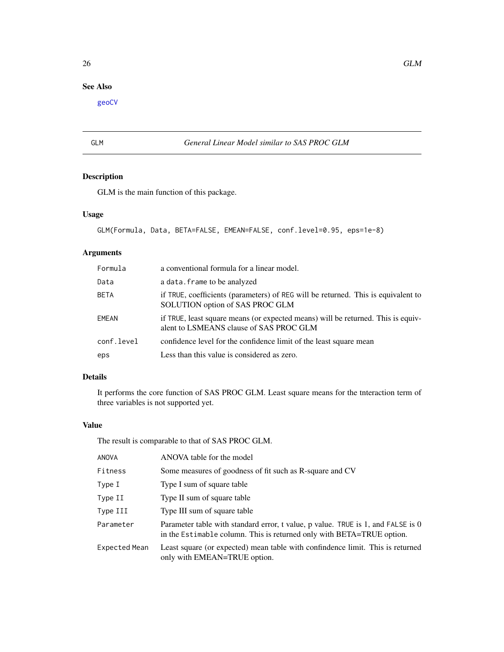### <span id="page-25-0"></span>See Also

[geoCV](#page-23-1)

### GLM *General Linear Model similar to SAS PROC GLM*

### Description

GLM is the main function of this package.

### Usage

```
GLM(Formula, Data, BETA=FALSE, EMEAN=FALSE, conf.level=0.95, eps=1e-8)
```
### Arguments

| Formula     | a conventional formula for a linear model.                                                                                  |
|-------------|-----------------------------------------------------------------------------------------------------------------------------|
| Data        | a data. frame to be analyzed                                                                                                |
| <b>BETA</b> | if TRUE, coefficients (parameters) of REG will be returned. This is equivalent to<br>SOLUTION option of SAS PROC GLM        |
| EMEAN       | if TRUE, least square means (or expected means) will be returned. This is equiv-<br>alent to LSMEANS clause of SAS PROC GLM |
| conf.level  | confidence level for the confidence limit of the least square mean                                                          |
| eps         | Less than this value is considered as zero.                                                                                 |

### Details

It performs the core function of SAS PROC GLM. Least square means for the tnteraction term of three variables is not supported yet.

#### Value

The result is comparable to that of SAS PROC GLM.

| <b>ANOVA</b>  | ANOVA table for the model                                                                                                                                 |
|---------------|-----------------------------------------------------------------------------------------------------------------------------------------------------------|
| Fitness       | Some measures of goodness of fit such as R-square and CV                                                                                                  |
| Type I        | Type I sum of square table                                                                                                                                |
| Type II       | Type II sum of square table                                                                                                                               |
| Type III      | Type III sum of square table                                                                                                                              |
| Parameter     | Parameter table with standard error, t value, p value. TRUE is 1, and FALSE is 0<br>in the Estimable column. This is returned only with BETA=TRUE option. |
| Expected Mean | Least square (or expected) mean table with confindence limit. This is returned<br>only with EMEAN=TRUE option.                                            |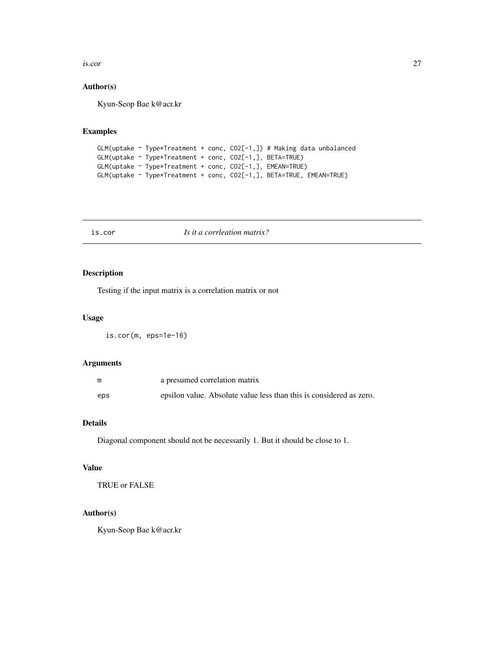<span id="page-26-0"></span>is.cor 27

### Author(s)

Kyun-Seop Bae k@acr.kr

### Examples

```
GLM(uptake ~ Type*Treatment + conc, CO2[-1,]) # Making data unbalanced
GLM(uptake ~ Type*Treatment + conc, CO2[-1,], BETA=TRUE)
GLM(uptake ~ Type*Treatment + conc, CO2[-1,], EMEAN=TRUE)
GLM(uptake ~ Type*Treatment + conc, CO2[-1,], BETA=TRUE, EMEAN=TRUE)
```
is.cor *Is it a corrleation matrix?*

#### Description

Testing if the input matrix is a correlation matrix or not

### Usage

is.cor(m, eps=1e-16)

#### Arguments

|     | a presumed correlation matrix                                       |
|-----|---------------------------------------------------------------------|
| eps | epsilon value. Absolute value less than this is considered as zero. |

### Details

Diagonal component should not be necessarily 1. But it should be close to 1.

#### Value

TRUE or FALSE

### Author(s)

Kyun-Seop Bae k@acr.kr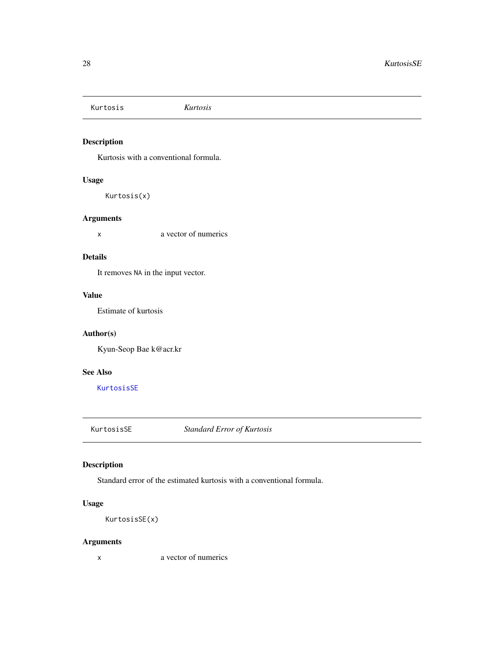<span id="page-27-2"></span><span id="page-27-0"></span>Kurtosis *Kurtosis*

### Description

Kurtosis with a conventional formula.

### Usage

Kurtosis(x)

#### Arguments

x a vector of numerics

#### Details

It removes NA in the input vector.

### Value

Estimate of kurtosis

#### Author(s)

Kyun-Seop Bae k@acr.kr

### See Also

[KurtosisSE](#page-27-1)

<span id="page-27-1"></span>KurtosisSE *Standard Error of Kurtosis*

### Description

Standard error of the estimated kurtosis with a conventional formula.

### Usage

KurtosisSE(x)

### Arguments

x a vector of numerics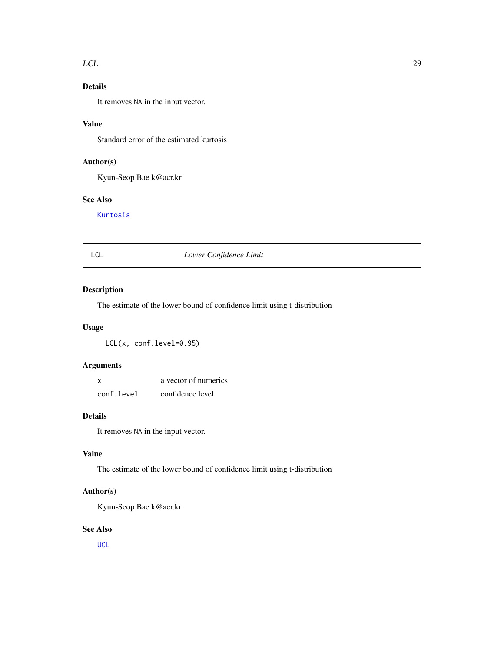#### <span id="page-28-0"></span> $LCL$  29

### Details

It removes NA in the input vector.

### Value

Standard error of the estimated kurtosis

### Author(s)

Kyun-Seop Bae k@acr.kr

### See Also

[Kurtosis](#page-27-2)

### LCL *Lower Confidence Limit*

### Description

The estimate of the lower bound of confidence limit using t-distribution

#### Usage

LCL(x, conf.level=0.95)

### Arguments

| X          | a vector of numerics |
|------------|----------------------|
| conf.level | confidence level     |

#### Details

It removes NA in the input vector.

### Value

The estimate of the lower bound of confidence limit using t-distribution

### Author(s)

Kyun-Seop Bae k@acr.kr

#### See Also

**[UCL](#page-57-1)**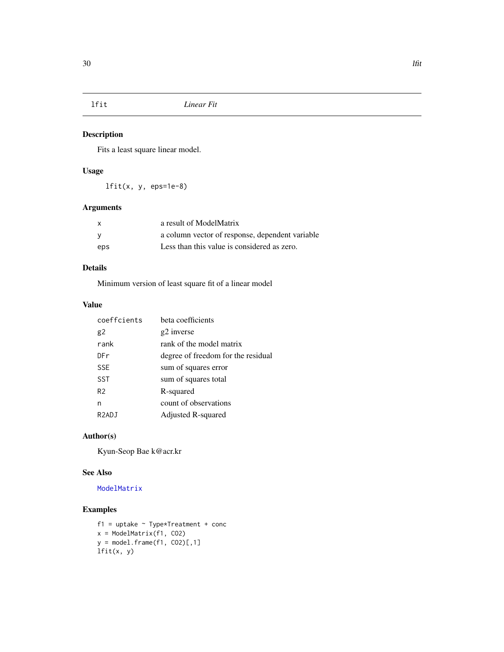<span id="page-29-1"></span><span id="page-29-0"></span>

Fits a least square linear model.

### Usage

lfit(x, y, eps=1e-8)

### Arguments

| X   | a result of ModelMatrix                         |
|-----|-------------------------------------------------|
| - V | a column vector of response, dependent variable |
| eps | Less than this value is considered as zero.     |

### Details

Minimum version of least square fit of a linear model

### Value

| coeffcients        | beta coefficients                  |
|--------------------|------------------------------------|
| g <sub>2</sub>     | g2 inverse                         |
| rank               | rank of the model matrix           |
| <b>DFr</b>         | degree of freedom for the residual |
| <b>SSE</b>         | sum of squares error               |
| <b>SST</b>         | sum of squares total               |
| R <sub>2</sub>     | R-squared                          |
| n                  | count of observations              |
| R <sub>2</sub> ADJ | Adjusted R-squared                 |

#### Author(s)

Kyun-Seop Bae k@acr.kr

### See Also

### [ModelMatrix](#page-36-1)

```
f1 = uptake ~ Type*Treatment + concx = ModelMatrix(f1, CO2)
y = model.Fname(f1, CO2)[,1]lfit(x, y)
```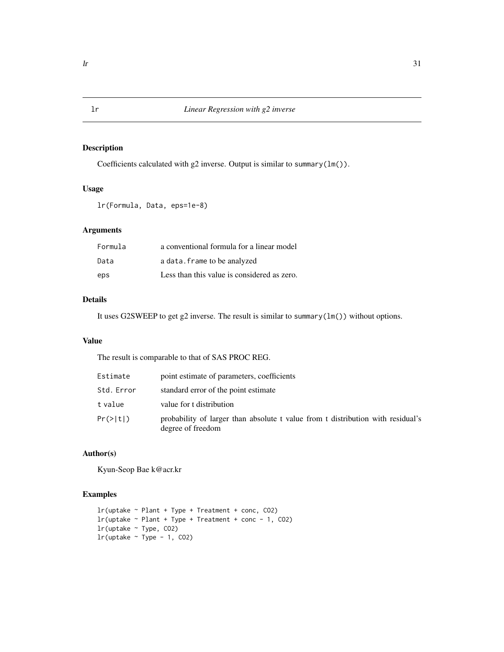Coefficients calculated with g2 inverse. Output is similar to summary(lm()).

#### Usage

lr(Formula, Data, eps=1e-8)

### Arguments

| Formula | a conventional formula for a linear model   |
|---------|---------------------------------------------|
| Data    | a data. frame to be analyzed                |
| eps     | Less than this value is considered as zero. |

### Details

It uses G2SWEEP to get g2 inverse. The result is similar to summary(lm()) without options.

#### Value

The result is comparable to that of SAS PROC REG.

| Estimate   | point estimate of parameters, coefficients                                                           |
|------------|------------------------------------------------------------------------------------------------------|
| Std. Error | standard error of the point estimate                                                                 |
| t value    | value for t distribution                                                                             |
| Pr(>  t )  | probability of larger than absolute t value from t distribution with residual's<br>degree of freedom |

### Author(s)

Kyun-Seop Bae k@acr.kr

```
lr(uptake ~ Plant + Type + Treatment + conc, CO2)
lr(uptake \sim Plant + Type + Treatment + conc - 1, CO2)
lr(uptake ~ Type, CO2)
lr(uptake ~ Type - 1, CO2)
```
<span id="page-30-1"></span><span id="page-30-0"></span>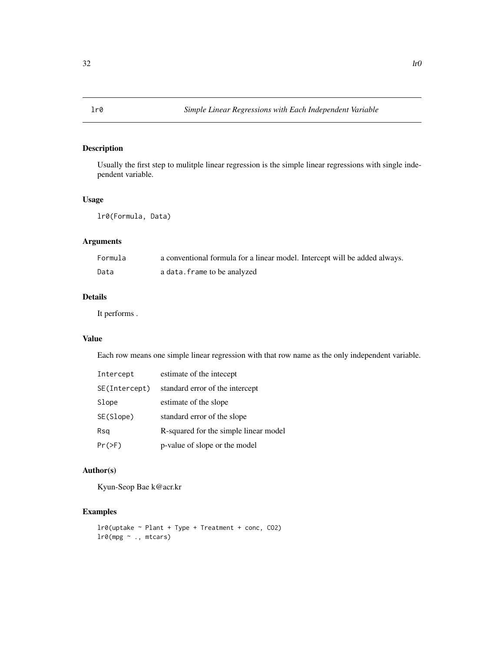<span id="page-31-0"></span>

Usually the first step to mulitple linear regression is the simple linear regressions with single independent variable.

### Usage

lr0(Formula, Data)

### Arguments

| Formula | a conventional formula for a linear model. Intercept will be added always. |
|---------|----------------------------------------------------------------------------|
| Data    | a data.frame to be analyzed                                                |

### Details

It performs .

#### Value

Each row means one simple linear regression with that row name as the only independent variable.

| Intercept     | estimate of the intecept              |
|---------------|---------------------------------------|
| SE(Intercept) | standard error of the intercept       |
| Slope         | estimate of the slope                 |
| SE(Slope)     | standard error of the slope           |
| Rsq           | R-squared for the simple linear model |
| $Pr(>=F)$     | p-value of slope or the model         |

### Author(s)

Kyun-Seop Bae k@acr.kr

### Examples

lr0(uptake ~ Plant + Type + Treatment + conc, CO2)  $lr0(mpg \sim ., mtcars)$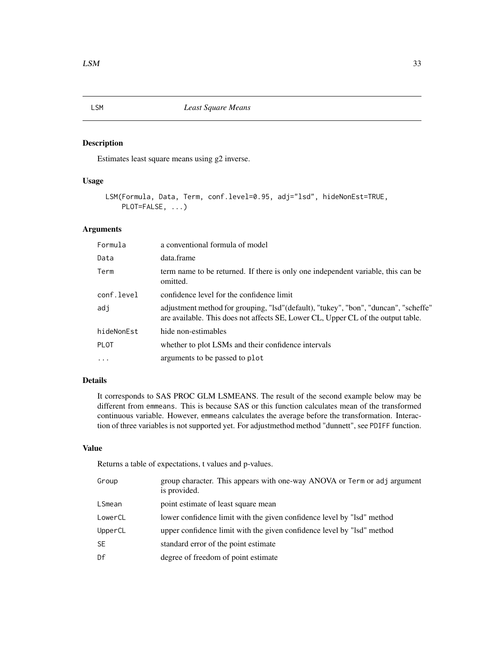Estimates least square means using g2 inverse.

### Usage

```
LSM(Formula, Data, Term, conf.level=0.95, adj="lsd", hideNonEst=TRUE,
    PLOT=FALSE, ...)
```
### Arguments

| Formula     | a conventional formula of model                                                                                                                                         |
|-------------|-------------------------------------------------------------------------------------------------------------------------------------------------------------------------|
| Data        | data.frame                                                                                                                                                              |
| Term        | term name to be returned. If there is only one independent variable, this can be<br>omitted.                                                                            |
| conf.level  | confidence level for the confidence limit                                                                                                                               |
| adi         | adjustment method for grouping, "Isd"(default), "tukey", "bon", "duncan", "scheffe"<br>are available. This does not affects SE, Lower CL, Upper CL of the output table. |
| hideNonEst  | hide non-estimables                                                                                                                                                     |
| <b>PLOT</b> | whether to plot LSMs and their confidence intervals                                                                                                                     |
| $\cdots$    | arguments to be passed to plot                                                                                                                                          |

### Details

It corresponds to SAS PROC GLM LSMEANS. The result of the second example below may be different from emmeans. This is because SAS or this function calculates mean of the transformed continuous variable. However, emmeans calculates the average before the transformation. Interaction of three variables is not supported yet. For adjustmethod method "dunnett", see PDIFF function.

#### Value

Returns a table of expectations, t values and p-values.

| Group     | group character. This appears with one-way ANOVA or Term or adj argument<br>is provided. |
|-----------|------------------------------------------------------------------------------------------|
| LSmean    | point estimate of least square mean                                                      |
| LowerCL   | lower confidence limit with the given confidence level by "lsd" method                   |
| UpperCL   | upper confidence limit with the given confidence level by "lsd" method                   |
| <b>SE</b> | standard error of the point estimate                                                     |
| Df        | degree of freedom of point estimate                                                      |

<span id="page-32-1"></span><span id="page-32-0"></span>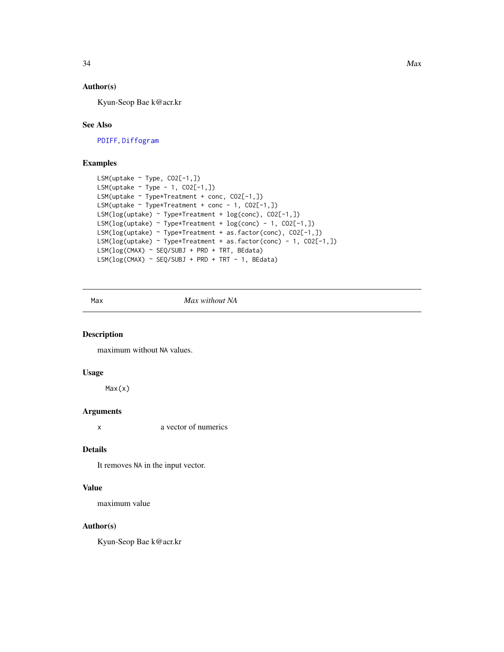#### Author(s)

Kyun-Seop Bae k@acr.kr

### See Also

[PDIFF](#page-40-1), [Diffogram](#page-15-1)

### Examples

```
LSM(uptake ~ Type, CO2[-1,])
LSM(uptake ~ Type - 1, CO2[-1,])
LSM(uptake ~ Type*Treatment + conc, CO2[-1,])
LSM(uptake \sim Type*Treatment + conc - 1, CO2[-1,])
LSM(log(uptake) ~ Type*Treatment + log(conc), CO2[-1,])
LSM(log(uptake) ~ Type*Treatment + log(conc) - 1, CO2[-1,])
LSM(log(uptake) ~ Type*Treatment + as.factor(conc), CO2[-1,])
LSM(log(uptake) ~ Type*Treatment + as.factor(conc) - 1, CO2[-1,])
LSM(log(CMAX) ~ SEQ/SUBJ + PRD + TRT, BEdata)
LSM(log(CMAX) ~ > SEQ/SUBJ + PRD + TRT - 1, BEdata)
```
#### Max *Max without NA*

#### Description

maximum without NA values.

#### Usage

Max(x)

#### Arguments

x a vector of numerics

#### Details

It removes NA in the input vector.

#### Value

maximum value

#### Author(s)

Kyun-Seop Bae k@acr.kr

<span id="page-33-0"></span>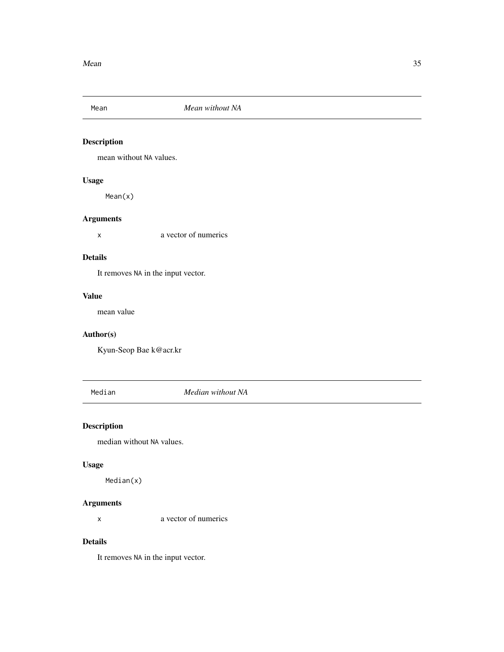<span id="page-34-0"></span>

mean without NA values.

### Usage

Mean(x)

### Arguments

x a vector of numerics

#### Details

It removes NA in the input vector.

### Value

mean value

### Author(s)

Kyun-Seop Bae k@acr.kr

Median *Median without NA*

### Description

median without NA values.

#### Usage

Median(x)

### Arguments

x a vector of numerics

#### Details

It removes NA in the input vector.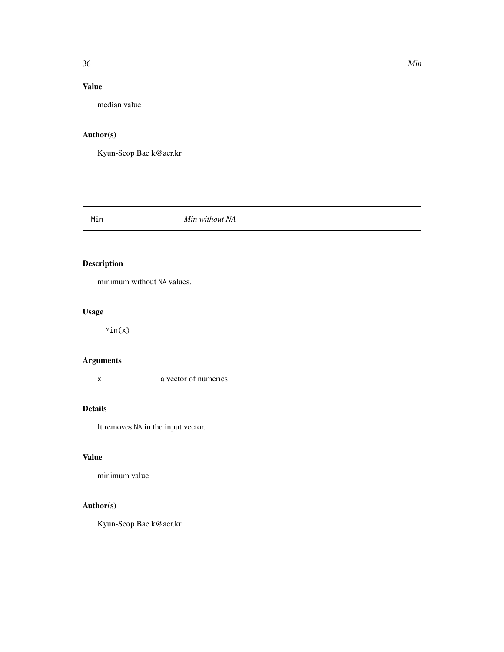### <span id="page-35-0"></span>Value

median value

### Author(s)

Kyun-Seop Bae k@acr.kr

#### Min *Min without NA*

### Description

minimum without NA values.

### Usage

Min(x)

### Arguments

x a vector of numerics

### Details

It removes NA in the input vector.

### Value

minimum value

### Author(s)

Kyun-Seop Bae k@acr.kr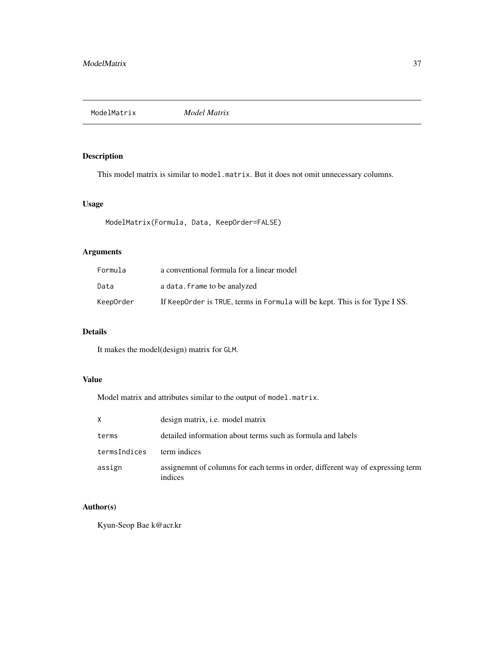<span id="page-36-1"></span><span id="page-36-0"></span>ModelMatrix *Model Matrix*

### Description

This model matrix is similar to model.matrix. But it does not omit unnecessary columns.

#### Usage

ModelMatrix(Formula, Data, KeepOrder=FALSE)

### Arguments

| Formula   | a conventional formula for a linear model                                   |
|-----------|-----------------------------------------------------------------------------|
| Data      | a data. frame to be analyzed                                                |
| KeepOrder | If KeepOrder is TRUE, terms in Formula will be kept. This is for Type I SS. |

### Details

It makes the model(design) matrix for GLM.

### Value

Model matrix and attributes similar to the output of model.matrix.

| X            | design matrix, <i>i.e.</i> model matrix                                                    |
|--------------|--------------------------------------------------------------------------------------------|
| terms        | detailed information about terms such as formula and labels                                |
| termsIndices | term indices                                                                               |
| assign       | assignemnt of columns for each terms in order, different way of expressing term<br>indices |

### Author(s)

Kyun-Seop Bae k@acr.kr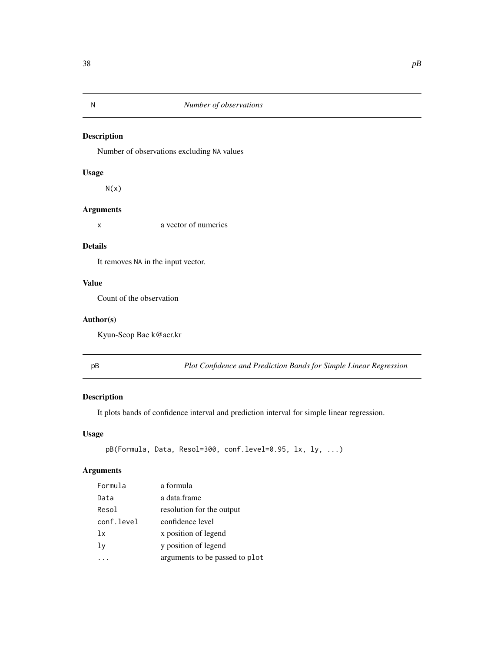<span id="page-37-0"></span>

Number of observations excluding NA values

### Usage

 $N(x)$ 

### Arguments

x a vector of numerics

#### Details

It removes NA in the input vector.

### Value

Count of the observation

#### Author(s)

Kyun-Seop Bae k@acr.kr

pB *Plot Confidence and Prediction Bands for Simple Linear Regression*

### Description

It plots bands of confidence interval and prediction interval for simple linear regression.

### Usage

```
pB(Formula, Data, Resol=300, conf.level=0.95, lx, ly, ...)
```
### Arguments

| Formula    | a formula                      |
|------------|--------------------------------|
| Data       | a data.frame                   |
| Resol      | resolution for the output      |
| conf.level | confidence level               |
| 1x         | x position of legend           |
| lν         | y position of legend           |
|            | arguments to be passed to plot |
|            |                                |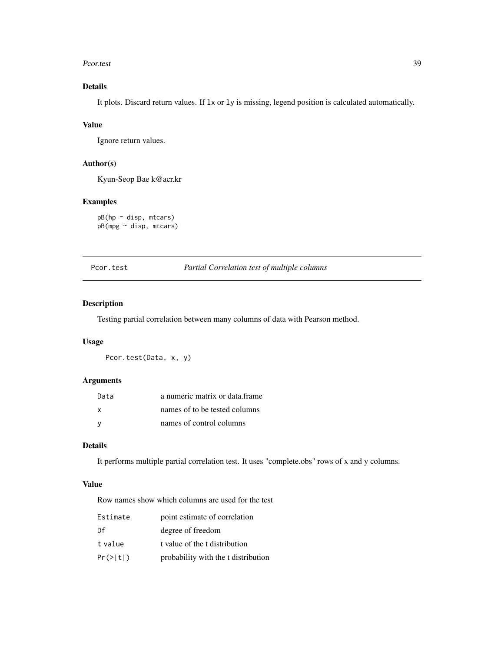#### <span id="page-38-0"></span>Pcor.test 39

### Details

It plots. Discard return values. If lx or ly is missing, legend position is calculated automatically.

### Value

Ignore return values.

### Author(s)

Kyun-Seop Bae k@acr.kr

#### Examples

pB(hp ~ disp, mtcars) pB(mpg ~ disp, mtcars)

#### Pcor.test *Partial Correlation test of multiple columns*

### Description

Testing partial correlation between many columns of data with Pearson method.

#### Usage

Pcor.test(Data, x, y)

### Arguments

| Data | a numeric matrix or data frame |
|------|--------------------------------|
| X    | names of to be tested columns  |
| - V  | names of control columns       |

#### Details

It performs multiple partial correlation test. It uses "complete.obs" rows of x and y columns.

#### Value

Row names show which columns are used for the test

| Estimate  | point estimate of correlation       |
|-----------|-------------------------------------|
| Df        | degree of freedom                   |
| t value   | t value of the t distribution       |
| Pr(>  t ) | probability with the t distribution |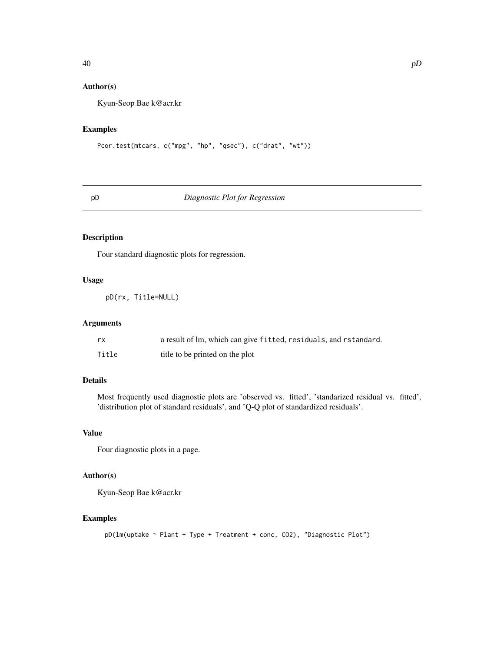### <span id="page-39-0"></span>Author(s)

Kyun-Seop Bae k@acr.kr

#### Examples

```
Pcor.test(mtcars, c("mpg", "hp", "qsec"), c("drat", "wt"))
```
#### pD *Diagnostic Plot for Regression*

### Description

Four standard diagnostic plots for regression.

### Usage

pD(rx, Title=NULL)

#### Arguments

| rx    | a result of lm, which can give fitted, residuals, and rstandard. |
|-------|------------------------------------------------------------------|
| Title | title to be printed on the plot                                  |

#### Details

Most frequently used diagnostic plots are 'observed vs. fitted', 'standarized residual vs. fitted', 'distribution plot of standard residuals', and 'Q-Q plot of standardized residuals'.

### Value

Four diagnostic plots in a page.

### Author(s)

Kyun-Seop Bae k@acr.kr

```
pD(lm(uptake ~ Plant + Type + Treatment + conc, CO2), "Diagnostic Plot")
```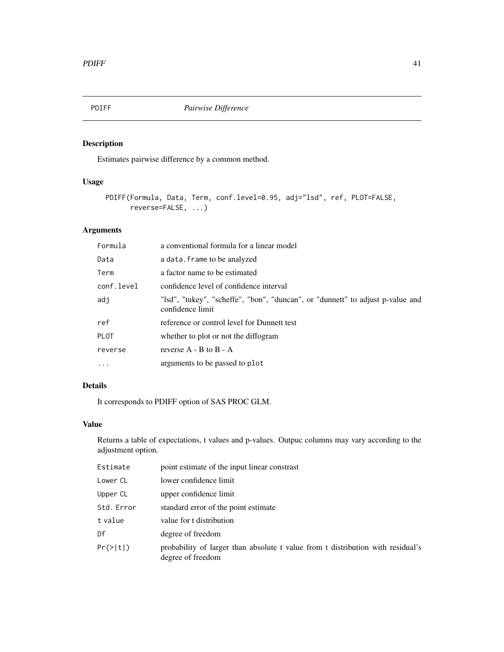<span id="page-40-1"></span><span id="page-40-0"></span>

Estimates pairwise difference by a common method.

### Usage

```
PDIFF(Formula, Data, Term, conf.level=0.95, adj="lsd", ref, PLOT=FALSE,
      reverse=FALSE, ...)
```
### Arguments

| Formula     | a conventional formula for a linear model                                                          |
|-------------|----------------------------------------------------------------------------------------------------|
| Data        | a data. frame to be analyzed                                                                       |
| Term        | a factor name to be estimated                                                                      |
| conf.level  | confidence level of confidence interval                                                            |
| adj         | "Isd", "tukey", "scheffe", "bon", "duncan", or "dunnett" to adjust p-value and<br>confidence limit |
| ref         | reference or control level for Dunnett test                                                        |
| <b>PLOT</b> | whether to plot or not the diffogram                                                               |
| reverse     | reverse $A - B$ to $B - A$                                                                         |
| $\cdot$     | arguments to be passed to plot                                                                     |

### Details

It corresponds to PDIFF option of SAS PROC GLM.

#### Value

Returns a table of expectations, t values and p-values. Outpuc columns may vary according to the adjustment option.

| Estimate   | point estimate of the input linear constrast                                                         |
|------------|------------------------------------------------------------------------------------------------------|
| Lower CL   | lower confidence limit                                                                               |
| Upper CL   | upper confidence limit                                                                               |
| Std. Error | standard error of the point estimate                                                                 |
| t value    | value for t distribution                                                                             |
| Df         | degree of freedom                                                                                    |
| Pr(> t )   | probability of larger than absolute t value from t distribution with residual's<br>degree of freedom |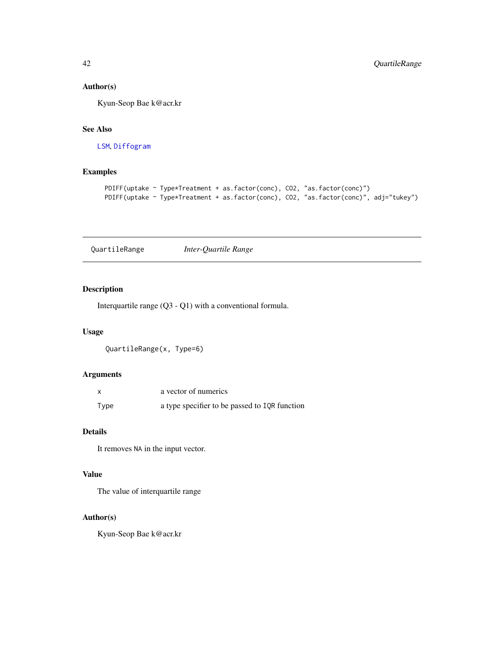### <span id="page-41-0"></span>Author(s)

Kyun-Seop Bae k@acr.kr

### See Also

[LSM](#page-32-1), [Diffogram](#page-15-1)

### Examples

```
PDIFF(uptake ~ Type*Treatment + as.factor(conc), CO2, "as.factor(conc)")
PDIFF(uptake ~ Type*Treatment + as.factor(conc), CO2, "as.factor(conc)", adj="tukey")
```
QuartileRange *Inter-Quartile Range*

#### Description

Interquartile range (Q3 - Q1) with a conventional formula.

#### Usage

QuartileRange(x, Type=6)

### Arguments

|      | a vector of numerics                          |
|------|-----------------------------------------------|
| Type | a type specifier to be passed to IQR function |

### Details

It removes NA in the input vector.

#### Value

The value of interquartile range

#### Author(s)

Kyun-Seop Bae k@acr.kr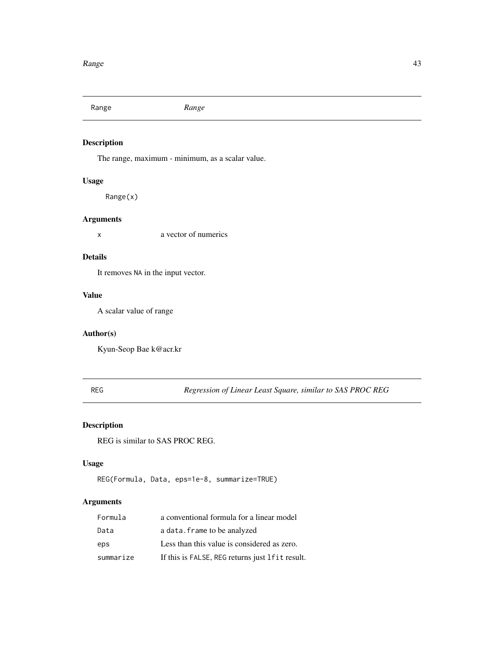<span id="page-42-0"></span>Range *Range*

### Description

The range, maximum - minimum, as a scalar value.

### Usage

Range(x)

### Arguments

x a vector of numerics

#### Details

It removes NA in the input vector.

### Value

A scalar value of range

### Author(s)

Kyun-Seop Bae k@acr.kr

REG *Regression of Linear Least Square, similar to SAS PROC REG*

### Description

REG is similar to SAS PROC REG.

### Usage

```
REG(Formula, Data, eps=1e-8, summarize=TRUE)
```
### Arguments

| Formula   | a conventional formula for a linear model       |
|-----------|-------------------------------------------------|
| Data      | a data. frame to be analyzed                    |
| eps       | Less than this value is considered as zero.     |
| summarize | If this is FALSE, REG returns just lfit result. |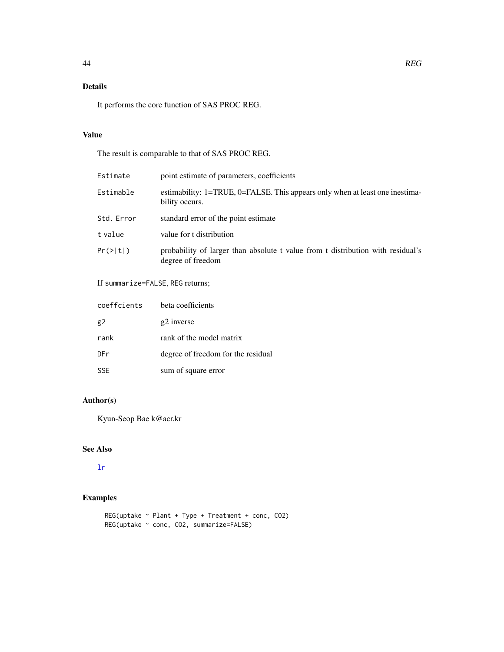### <span id="page-43-0"></span>Details

It performs the core function of SAS PROC REG.

#### Value

The result is comparable to that of SAS PROC REG.

| Estimate   | point estimate of parameters, coefficients                                                           |
|------------|------------------------------------------------------------------------------------------------------|
| Estimable  | estimability: 1=TRUE, 0=FALSE. This appears only when at least one inestima-<br>bility occurs.       |
| Std. Error | standard error of the point estimate                                                                 |
| t value    | value for t distribution                                                                             |
| Pr(>  t )  | probability of larger than absolute t value from t distribution with residual's<br>degree of freedom |

### If summarize=FALSE, REG returns;

| coeffcients | beta coefficients                  |
|-------------|------------------------------------|
| g2          | g2 inverse                         |
| rank        | rank of the model matrix           |
| DFr         | degree of freedom for the residual |
| <b>SSF</b>  | sum of square error                |

### Author(s)

Kyun-Seop Bae k@acr.kr

### See Also

### [lr](#page-30-1)

```
REG(uptake ~ Plant + Type + Treatment + conc, CO2)
REG(uptake ~ conc, CO2, summarize=FALSE)
```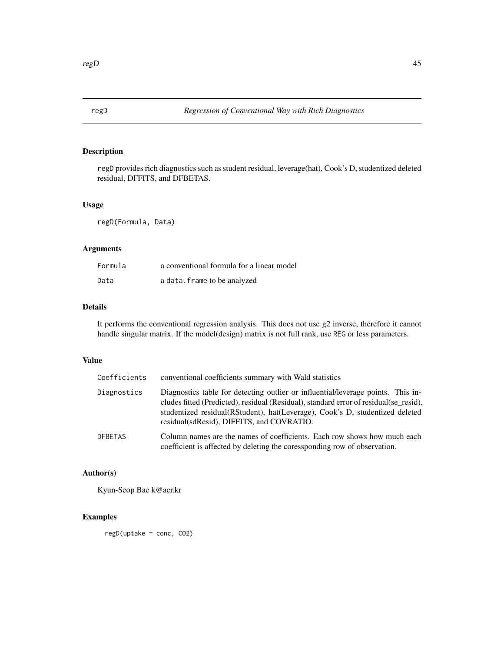<span id="page-44-0"></span>

regD provides rich diagnostics such as student residual, leverage(hat), Cook's D, studentized deleted residual, DFFITS, and DFBETAS.

#### Usage

regD(Formula, Data)

### Arguments

| Formula | a conventional formula for a linear model |
|---------|-------------------------------------------|
| Data    | a data. frame to be analyzed              |

#### Details

It performs the conventional regression analysis. This does not use g2 inverse, therefore it cannot handle singular matrix. If the model(design) matrix is not full rank, use REG or less parameters.

#### Value

| Coefficients   | conventional coefficients summary with Wald statistics                                                                                                                                                                                                                                                   |
|----------------|----------------------------------------------------------------------------------------------------------------------------------------------------------------------------------------------------------------------------------------------------------------------------------------------------------|
| Diagnostics    | Diagnostics table for detecting outlier or influential/leverage points. This in-<br>cludes fitted (Predicted), residual (Residual), standard error of residual (se_resid),<br>studentized residual(RStudent), hat(Leverage), Cook's D, studentized deleted<br>residual (sdResid), DIFFITS, and COVRATIO. |
| <b>DFBETAS</b> | Column names are the names of coefficients. Each row shows how much each<br>coefficient is affected by deleting the coressponding row of observation.                                                                                                                                                    |

#### Author(s)

Kyun-Seop Bae k@acr.kr

### Examples

regD(uptake ~ conc, CO2)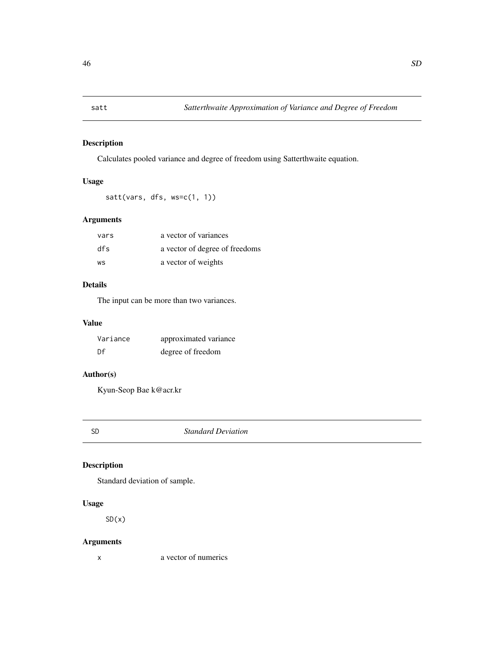<span id="page-45-0"></span>

Calculates pooled variance and degree of freedom using Satterthwaite equation.

### Usage

```
satt(vars, dfs, ws=c(1, 1))
```
### Arguments

| vars | a vector of variances          |
|------|--------------------------------|
| dfs  | a vector of degree of freedoms |
| WS   | a vector of weights            |

### Details

The input can be more than two variances.

### Value

| Variance | approximated variance |
|----------|-----------------------|
| Df       | degree of freedom     |

### Author(s)

Kyun-Seop Bae k@acr.kr

SD *Standard Deviation*

### Description

Standard deviation of sample.

### Usage

 $SD(x)$ 

### Arguments

x a vector of numerics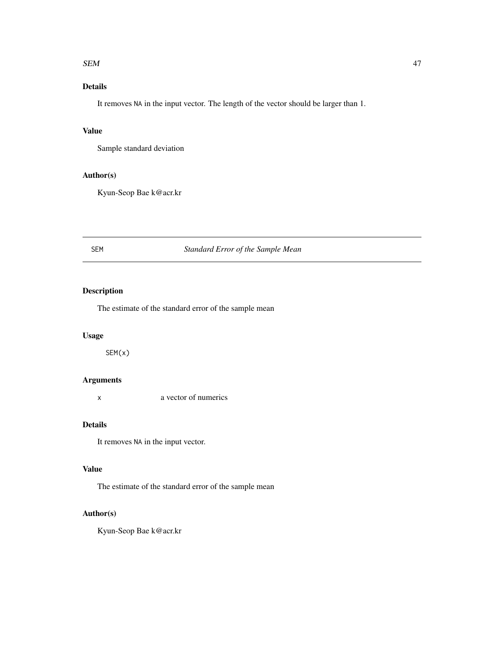#### <span id="page-46-0"></span> $SEM$  and the set of the set of the set of the set of the set of the set of the set of the set of the set of the set of the set of the set of the set of the set of the set of the set of the set of the set of the set of the

### Details

It removes NA in the input vector. The length of the vector should be larger than 1.

### Value

Sample standard deviation

#### Author(s)

Kyun-Seop Bae k@acr.kr

### SEM *Standard Error of the Sample Mean*

### Description

The estimate of the standard error of the sample mean

### Usage

SEM(x)

### Arguments

x a vector of numerics

#### Details

It removes NA in the input vector.

#### Value

The estimate of the standard error of the sample mean

#### Author(s)

Kyun-Seop Bae k@acr.kr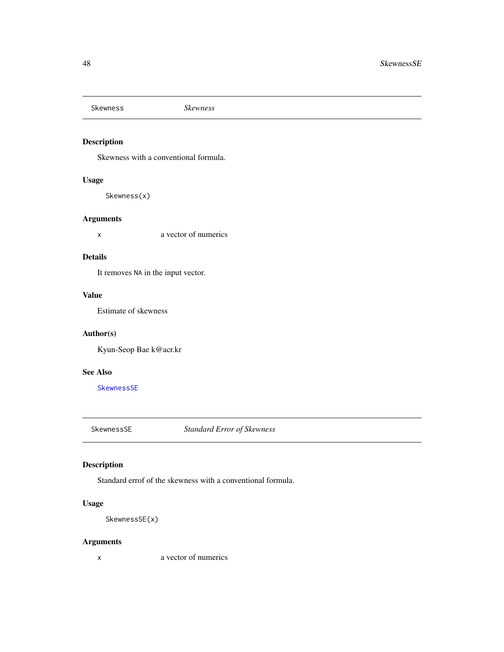<span id="page-47-2"></span><span id="page-47-0"></span>Skewness *Skewness*

### Description

Skewness with a conventional formula.

### Usage

Skewness(x)

#### Arguments

x a vector of numerics

#### Details

It removes NA in the input vector.

#### Value

Estimate of skewness

#### Author(s)

Kyun-Seop Bae k@acr.kr

### See Also

**[SkewnessSE](#page-47-1)** 

<span id="page-47-1"></span>SkewnessSE *Standard Error of Skewness*

### Description

Standard errof of the skewness with a conventional formula.

### Usage

SkewnessSE(x)

### Arguments

x a vector of numerics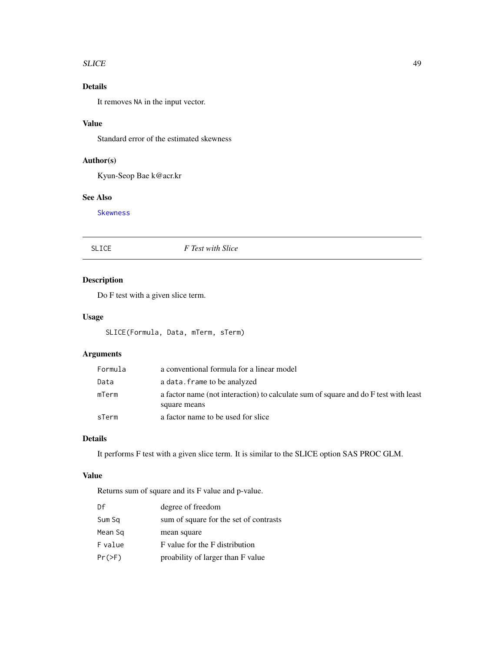#### <span id="page-48-0"></span>SLICE 49

### Details

It removes NA in the input vector.

### Value

Standard error of the estimated skewness

### Author(s)

Kyun-Seop Bae k@acr.kr

### See Also

[Skewness](#page-47-2)

SLICE *F Test with Slice*

### Description

Do F test with a given slice term.

### Usage

SLICE(Formula, Data, mTerm, sTerm)

### Arguments

| Formula | a conventional formula for a linear model                                                           |
|---------|-----------------------------------------------------------------------------------------------------|
| Data    | a data. frame to be analyzed                                                                        |
| mTerm   | a factor name (not interaction) to calculate sum of square and do F test with least<br>square means |
| sTerm   | a factor name to be used for slice                                                                  |

### Details

It performs F test with a given slice term. It is similar to the SLICE option SAS PROC GLM.

### Value

Returns sum of square and its F value and p-value.

| Df       | degree of freedom                      |
|----------|----------------------------------------|
| Sum Sq   | sum of square for the set of contrasts |
| Mean Sq  | mean square                            |
| F value  | F value for the F distribution         |
| $Pr(>=)$ | proability of larger than F value      |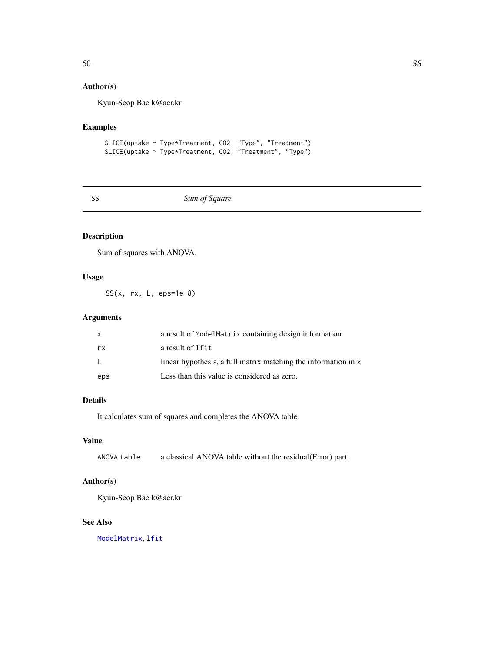### <span id="page-49-0"></span>Author(s)

Kyun-Seop Bae k@acr.kr

### Examples

SLICE(uptake ~ Type\*Treatment, CO2, "Type", "Treatment") SLICE(uptake ~ Type\*Treatment, CO2, "Treatment", "Type")

### SS *Sum of Square*

### Description

Sum of squares with ANOVA.

### Usage

SS(x, rx, L, eps=1e-8)

### Arguments

| x   | a result of ModelMatrix containing design information          |
|-----|----------------------------------------------------------------|
| rx  | a result of 1fit                                               |
|     | linear hypothesis, a full matrix matching the information in x |
| eps | Less than this value is considered as zero.                    |

### Details

It calculates sum of squares and completes the ANOVA table.

### Value

ANOVA table a classical ANOVA table without the residual(Error) part.

### Author(s)

Kyun-Seop Bae k@acr.kr

#### See Also

[ModelMatrix](#page-36-1), [lfit](#page-29-1)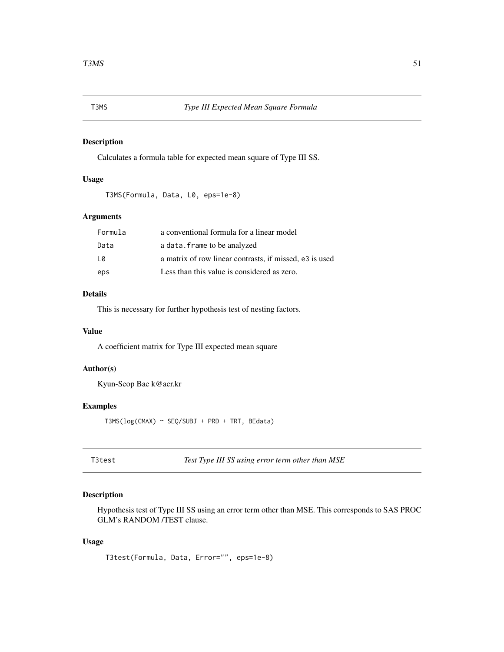<span id="page-50-0"></span>Calculates a formula table for expected mean square of Type III SS.

### Usage

```
T3MS(Formula, Data, L0, eps=1e-8)
```
### Arguments

| Formula | a conventional formula for a linear model               |
|---------|---------------------------------------------------------|
| Data    | a data. frame to be analyzed                            |
| 10      | a matrix of row linear contrasts, if missed, e3 is used |
| eps     | Less than this value is considered as zero.             |

#### Details

This is necessary for further hypothesis test of nesting factors.

### Value

A coefficient matrix for Type III expected mean square

### Author(s)

Kyun-Seop Bae k@acr.kr

### Examples

T3MS(log(CMAX) ~ SEQ/SUBJ + PRD + TRT, BEdata)

T3test *Test Type III SS using error term other than MSE*

### Description

Hypothesis test of Type III SS using an error term other than MSE. This corresponds to SAS PROC GLM's RANDOM /TEST clause.

#### Usage

T3test(Formula, Data, Error="", eps=1e-8)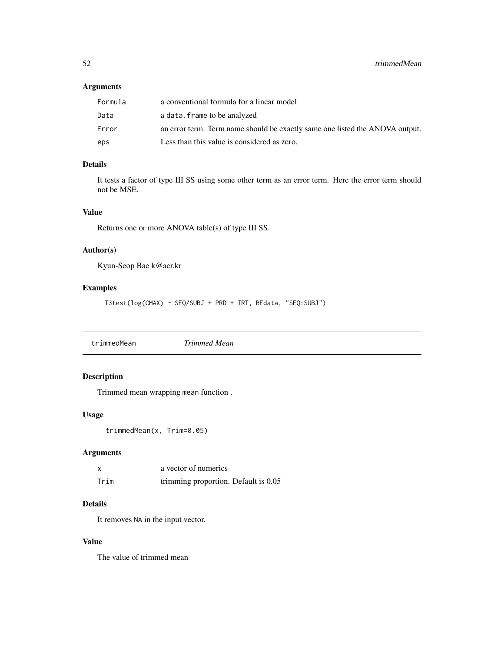### <span id="page-51-0"></span>Arguments

| Formula | a conventional formula for a linear model                                    |
|---------|------------------------------------------------------------------------------|
| Data    | a data. frame to be analyzed                                                 |
| Error   | an error term. Term name should be exactly same one listed the ANOVA output. |
| eps     | Less than this value is considered as zero.                                  |

### Details

It tests a factor of type III SS using some other term as an error term. Here the error term should not be MSE.

#### Value

Returns one or more ANOVA table(s) of type III SS.

### Author(s)

Kyun-Seop Bae k@acr.kr

### Examples

T3test(log(CMAX) ~ SEQ/SUBJ + PRD + TRT, BEdata, "SEQ:SUBJ")

trimmedMean *Trimmed Mean*

### Description

Trimmed mean wrapping mean function .

#### Usage

trimmedMean(x, Trim=0.05)

### Arguments

|      | a vector of numerics                 |
|------|--------------------------------------|
| Trim | trimming proportion. Default is 0.05 |

### Details

It removes NA in the input vector.

#### Value

The value of trimmed mean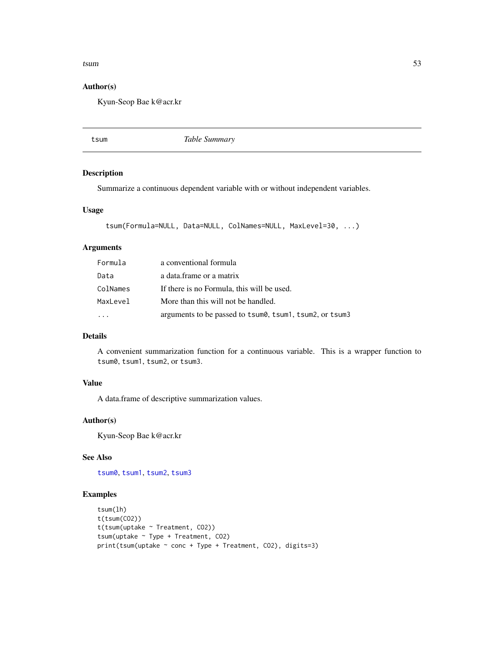#### <span id="page-52-0"></span> $tsum$  53

#### Author(s)

Kyun-Seop Bae k@acr.kr

<span id="page-52-1"></span>tsum *Table Summary*

#### Description

Summarize a continuous dependent variable with or without independent variables.

#### Usage

```
tsum(Formula=NULL, Data=NULL, ColNames=NULL, MaxLevel=30, ...)
```
#### Arguments

| Formula  | a conventional formula                                  |
|----------|---------------------------------------------------------|
| Data     | a data frame or a matrix                                |
| ColNames | If there is no Formula, this will be used.              |
| MaxLevel | More than this will not be handled.                     |
|          | arguments to be passed to tsum0, tsum1, tsum2, or tsum3 |

### Details

A convenient summarization function for a continuous variable. This is a wrapper function to tsum0, tsum1, tsum2, or tsum3.

### Value

A data.frame of descriptive summarization values.

### Author(s)

Kyun-Seop Bae k@acr.kr

### See Also

[tsum0](#page-53-1), [tsum1](#page-54-1), [tsum2](#page-55-1), [tsum3](#page-56-1)

```
tsum(lh)
t(tsum(CO2))
t(tsum(uptake ~ Treatment, CO2))
tsum(uptake ~ Type + Treatment, CO2)
print(tsum(uptake ~ cone + Type + Treatment, CO2), digits=3)
```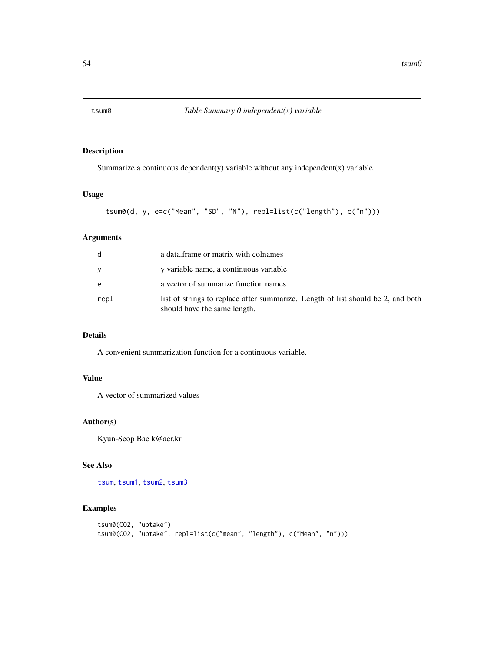<span id="page-53-1"></span><span id="page-53-0"></span>

Summarize a continuous dependent(y) variable without any independent(x) variable.

### Usage

```
tsum0(d, y, e=c("Mean", "SD", "N"), repl=list(c("length"), c("n")))
```
### Arguments

| d    | a data. frame or matrix with colnames                                                                            |
|------|------------------------------------------------------------------------------------------------------------------|
| V    | y variable name, a continuous variable                                                                           |
| e    | a vector of summarize function names                                                                             |
| repl | list of strings to replace after summarize. Length of list should be 2, and both<br>should have the same length. |

### Details

A convenient summarization function for a continuous variable.

### Value

A vector of summarized values

#### Author(s)

Kyun-Seop Bae k@acr.kr

#### See Also

[tsum](#page-52-1), [tsum1](#page-54-1), [tsum2](#page-55-1), [tsum3](#page-56-1)

```
tsum0(CO2, "uptake")
tsum0(CO2, "uptake", repl=list(c("mean", "length"), c("Mean", "n")))
```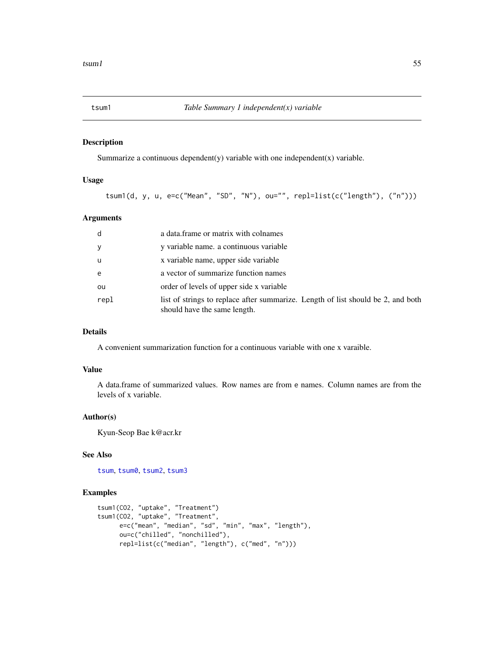<span id="page-54-1"></span><span id="page-54-0"></span>Summarize a continuous dependent(y) variable with one independent(x) variable.

#### Usage

tsum1(d, y, u, e=c("Mean", "SD", "N"), ou="", repl=list(c("length"), ("n")))

#### Arguments

| d    | a data.frame or matrix with colnames                                                                             |
|------|------------------------------------------------------------------------------------------------------------------|
| У    | y variable name, a continuous variable                                                                           |
| u    | x variable name, upper side variable                                                                             |
| e    | a vector of summarize function names                                                                             |
| ou   | order of levels of upper side x variable                                                                         |
| repl | list of strings to replace after summarize. Length of list should be 2, and both<br>should have the same length. |

### Details

A convenient summarization function for a continuous variable with one x varaible.

#### Value

A data.frame of summarized values. Row names are from e names. Column names are from the levels of x variable.

### Author(s)

Kyun-Seop Bae k@acr.kr

### See Also

[tsum](#page-52-1), [tsum0](#page-53-1), [tsum2](#page-55-1), [tsum3](#page-56-1)

```
tsum1(CO2, "uptake", "Treatment")
tsum1(CO2, "uptake", "Treatment",
     e=c("mean", "median", "sd", "min", "max", "length"),
     ou=c("chilled", "nonchilled"),
     repl=list(c("median", "length"), c("med", "n")))
```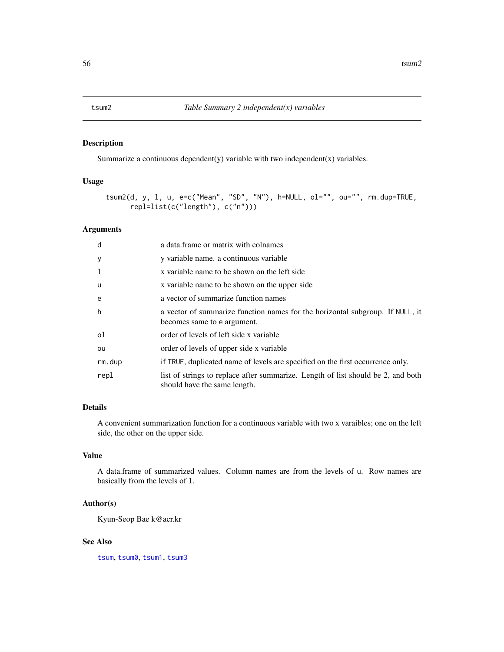<span id="page-55-1"></span><span id="page-55-0"></span>Summarize a continuous dependent(y) variable with two independent(x) variables.

### Usage

```
tsum2(d, y, l, u, e=c("Mean", "SD", "N"), h=NULL, ol="", ou="", rm.dup=TRUE,
     repl=list(c("length"), c("n")))
```
#### Arguments

| d        | a data. frame or matrix with colnames                                                                            |
|----------|------------------------------------------------------------------------------------------------------------------|
| y        | y variable name, a continuous variable                                                                           |
|          | x variable name to be shown on the left side                                                                     |
| <b>u</b> | x variable name to be shown on the upper side                                                                    |
| e        | a vector of summarize function names                                                                             |
| h        | a vector of summarize function names for the horizontal subgroup. If NULL, it<br>becomes same to e argument.     |
| οl       | order of levels of left side x variable                                                                          |
| ou       | order of levels of upper side x variable                                                                         |
| rm.dup   | if TRUE, duplicated name of levels are specified on the first occurrence only.                                   |
| repl     | list of strings to replace after summarize. Length of list should be 2, and both<br>should have the same length. |

### Details

A convenient summarization function for a continuous variable with two x varaibles; one on the left side, the other on the upper side.

### Value

A data.frame of summarized values. Column names are from the levels of u. Row names are basically from the levels of l.

#### Author(s)

Kyun-Seop Bae k@acr.kr

### See Also

[tsum](#page-52-1), [tsum0](#page-53-1), [tsum1](#page-54-1), [tsum3](#page-56-1)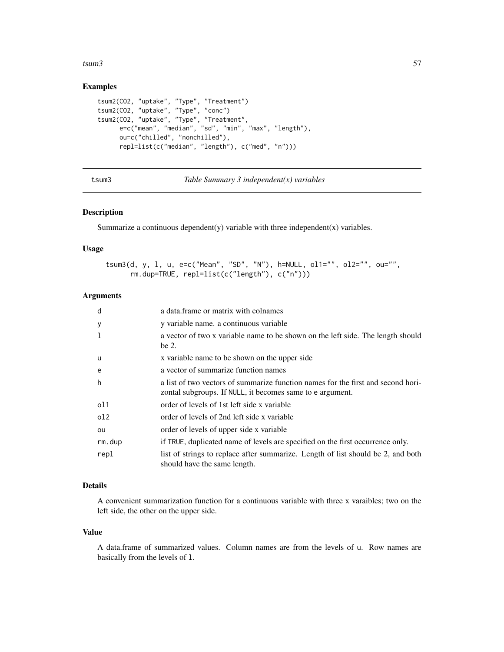#### <span id="page-56-0"></span> $tsum3$  57

#### Examples

```
tsum2(CO2, "uptake", "Type", "Treatment")
tsum2(CO2, "uptake", "Type", "conc")
tsum2(CO2, "uptake", "Type", "Treatment",
     e=c("mean", "median", "sd", "min", "max", "length"),
     ou=c("chilled", "nonchilled"),
     repl=list(c("median", "length"), c("med", "n")))
```
<span id="page-56-1"></span>tsum3 *Table Summary 3 independent(x) variables*

### Description

Summarize a continuous dependent $(y)$  variable with three independent $(x)$  variables.

#### Usage

```
tsum3(d, y, l, u, e=c("Mean", "SD", "N"), h=NULL, ol1="", ol2="", ou="",
     rm.dup=TRUE, repl=list(c("length"), c("n")))
```
### Arguments

| d               | a data frame or matrix with colnames                                                                             |
|-----------------|------------------------------------------------------------------------------------------------------------------|
| y               | y variable name, a continuous variable                                                                           |
| 1               | a vector of two x variable name to be shown on the left side. The length should                                  |
|                 | be 2.                                                                                                            |
| <b>u</b>        | x variable name to be shown on the upper side                                                                    |
| e               | a vector of summarize function names                                                                             |
| h               | a list of two vectors of summarize function names for the first and second hori-                                 |
|                 | zontal subgroups. If NULL, it becomes same to e argument.                                                        |
| ol1             | order of levels of 1st left side x variable                                                                      |
| 0 <sup>12</sup> | order of levels of 2nd left side x variable                                                                      |
| ou              | order of levels of upper side x variable                                                                         |
| rm.dup          | if TRUE, duplicated name of levels are specified on the first occurrence only.                                   |
| repl            | list of strings to replace after summarize. Length of list should be 2, and both<br>should have the same length. |

### Details

A convenient summarization function for a continuous variable with three x varaibles; two on the left side, the other on the upper side.

#### Value

A data.frame of summarized values. Column names are from the levels of u. Row names are basically from the levels of l.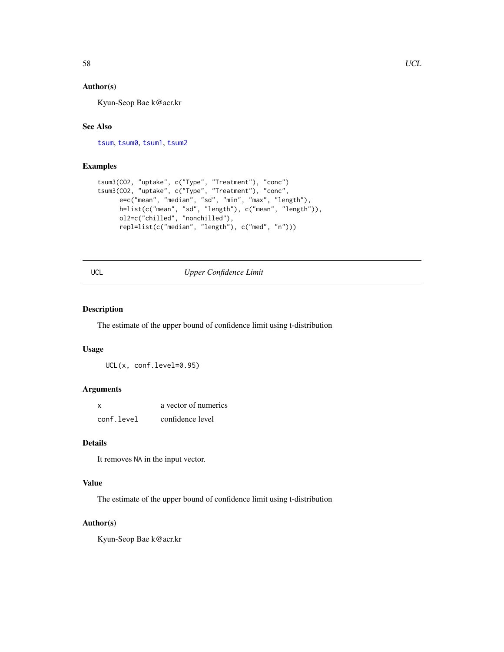### <span id="page-57-0"></span>Author(s)

Kyun-Seop Bae k@acr.kr

### See Also

[tsum](#page-52-1), [tsum0](#page-53-1), [tsum1](#page-54-1), [tsum2](#page-55-1)

### Examples

```
tsum3(CO2, "uptake", c("Type", "Treatment"), "conc")
tsum3(CO2, "uptake", c("Type", "Treatment"), "conc",
      e=c("mean", "median", "sd", "min", "max", "length"),
      h=list(c("mean", "sd", "length"), c("mean", "length")),
      ol2=c("chilled", "nonchilled"),
     repl=list(c("median", "length"), c("med", "n")))
```
<span id="page-57-1"></span>

### UCL *Upper Confidence Limit*

#### Description

The estimate of the upper bound of confidence limit using t-distribution

### Usage

UCL(x, conf.level=0.95)

### Arguments

| X          | a vector of numerics |
|------------|----------------------|
| conf.level | confidence level     |

#### Details

It removes NA in the input vector.

#### Value

The estimate of the upper bound of confidence limit using t-distribution

### Author(s)

Kyun-Seop Bae k@acr.kr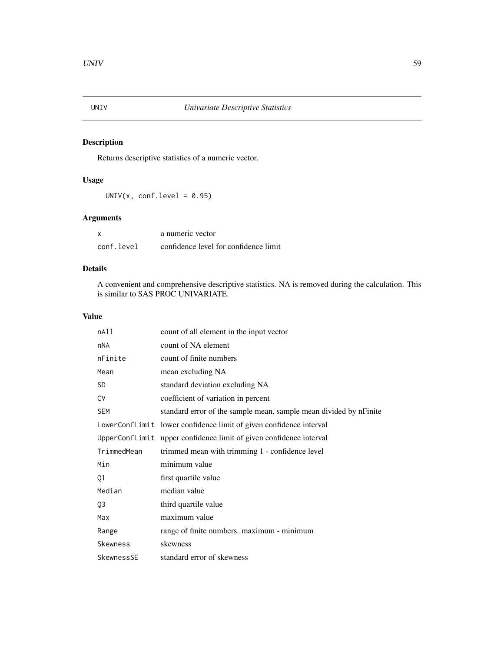<span id="page-58-0"></span>

Returns descriptive statistics of a numeric vector.

### Usage

 $UNIV(x, conf.level = 0.95)$ 

### Arguments

| x          | a numeric vector                      |
|------------|---------------------------------------|
| conf.level | confidence level for confidence limit |

### Details

A convenient and comprehensive descriptive statistics. NA is removed during the calculation. This is similar to SAS PROC UNIVARIATE.

### Value

| nAll           | count of all element in the input vector                           |
|----------------|--------------------------------------------------------------------|
| nNA            | count of NA element                                                |
| nFinite        | count of finite numbers                                            |
| Mean           | mean excluding NA                                                  |
| <b>SD</b>      | standard deviation excluding NA                                    |
| <b>CV</b>      | coefficient of variation in percent                                |
| <b>SEM</b>     | standard error of the sample mean, sample mean divided by nFinite  |
|                | LowerConfLimit lower confidence limit of given confidence interval |
|                | UpperConfLimit upper confidence limit of given confidence interval |
| TrimmedMean    | trimmed mean with trimming 1 - confidence level                    |
| Min            | minimum value                                                      |
| Q1             | first quartile value                                               |
| Median         | median value                                                       |
| Q <sub>3</sub> | third quartile value                                               |
| Max            | maximum value                                                      |
| Range          | range of finite numbers. maximum - minimum                         |
| Skewness       | skewness                                                           |
| SkewnessSE     | standard error of skewness                                         |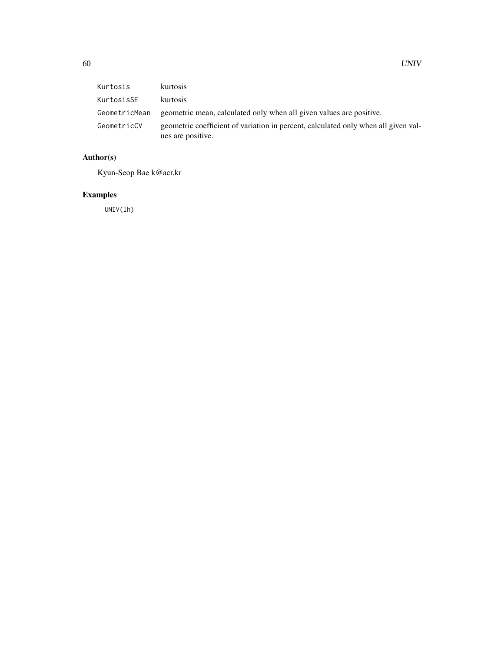| Kurtosis      | kurtosis                                                                                                |
|---------------|---------------------------------------------------------------------------------------------------------|
| KurtosisSE    | <b>kurtosis</b>                                                                                         |
| GeometricMean | geometric mean, calculated only when all given values are positive.                                     |
| GeometricCV   | geometric coefficient of variation in percent, calculated only when all given val-<br>ues are positive. |

### Author(s)

Kyun-Seop Bae k@acr.kr

### Examples

UNIV(lh)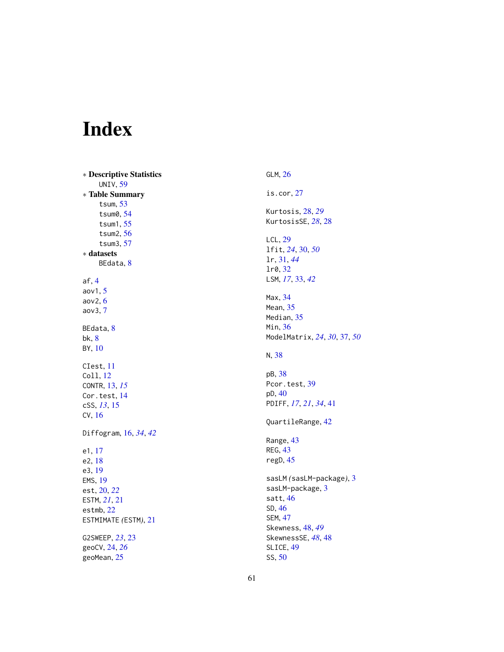# <span id="page-60-0"></span>Index

∗ Descriptive Statistics UNIV , [59](#page-58-0) ∗ Table Summary tsum , [53](#page-52-0) tsum0 , [54](#page-53-0) tsum1 , [55](#page-54-0) tsum2 , [56](#page-55-0) tsum3 , [57](#page-56-0) ∗ datasets BEdata, <mark>[8](#page-7-0)</mark> af , [4](#page-3-0) aov1 , [5](#page-4-0) aov2 , [6](#page-5-0) aov3 , [7](#page-6-0) BEdata, <mark>[8](#page-7-0)</mark> bk , [8](#page-7-0) BY , [10](#page-9-0) CIest , [11](#page-10-0) Coll , [12](#page-11-0) CONTR , [13](#page-12-0) , *[15](#page-14-0)* Cor.test, [14](#page-13-0) cSS , *[13](#page-12-0)* , [15](#page-14-0) CV , [16](#page-15-0) Diffogram , [16](#page-15-0) , *[34](#page-33-0)* , *[42](#page-41-0)* e1 , [17](#page-16-0) e2 , [18](#page-17-0) e3 , [19](#page-18-0) EMS , [19](#page-18-0) est , [20](#page-19-0) , *[22](#page-21-0)* ESTM , *[21](#page-20-0)* , [21](#page-20-0) estmb , [22](#page-21-0) ESTMIMATE *(*ESTM *)* , [21](#page-20-0) G2SWEEP , *[23](#page-22-0)* , [23](#page-22-0) geoCV , [24](#page-23-0) , *[26](#page-25-0)* geoMean , [25](#page-24-0)

GLM , [26](#page-25-0) is.cor , [27](#page-26-0) Kurtosis , [28](#page-27-0) , *[29](#page-28-0)* KurtosisSE , *[28](#page-27-0)* , [28](#page-27-0) LCL , [29](#page-28-0) lfit , *[24](#page-23-0)* , [30](#page-29-0) , *[50](#page-49-0)* lr , [31](#page-30-0) , *[44](#page-43-0)* lr0 , [32](#page-31-0) LSM , *[17](#page-16-0)* , [33](#page-32-0) , *[42](#page-41-0)* Max , [34](#page-33-0) Mean , [35](#page-34-0) Median, [35](#page-34-0) Min, [36](#page-35-0) ModelMatrix , *[24](#page-23-0)* , *[30](#page-29-0)* , [37](#page-36-0) , *[50](#page-49-0)* N , [38](#page-37-0) pB , [38](#page-37-0) Pcor.test, [39](#page-38-0) pD , [40](#page-39-0) PDIFF , *[17](#page-16-0)* , *[21](#page-20-0)* , *[34](#page-33-0)* , [41](#page-40-0) QuartileRange , [42](#page-41-0) Range, [43](#page-42-0) REG, [43](#page-42-0) regD , [45](#page-44-0) sasLM *(*sasLM-package *)* , [3](#page-2-0) sasLM-package, [3](#page-2-0) satt , [46](#page-45-0) SD , [46](#page-45-0) SEM , [47](#page-46-0) Skewness , [48](#page-47-0) , *[49](#page-48-0)* SkewnessSE , *[48](#page-47-0)* , [48](#page-47-0) SLICE , [49](#page-48-0) SS , [50](#page-49-0)